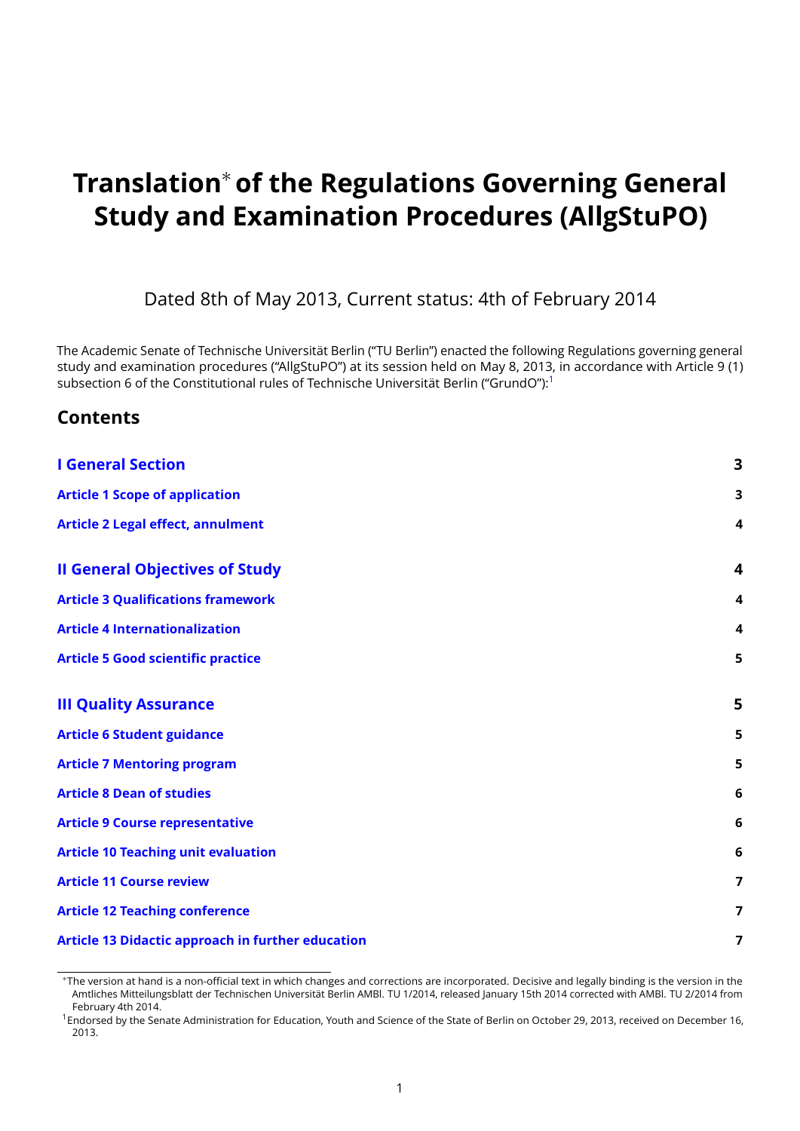# **Translation**<sup>∗</sup> **of the Regulations Governing General Study and Examination Procedures (AllgStuPO)**

Dated 8th of May 2013, Current status: 4th of February 2014

The Academic Senate of Technische Universität Berlin ("TU Berlin") enacted the following Regulations governing general study and examination procedures ("AllgStuPO") at its session held on May 8, 2013, in accordance with Article 9 (1) subsection 6 of the Constitutional rules of Technische Universität Berlin ("GrundO"):<sup>[1](#page-0-0)</sup>

#### **Contents**

| <b>I General Section</b>                                 | $\overline{\mathbf{3}}$ |
|----------------------------------------------------------|-------------------------|
| <b>Article 1 Scope of application</b>                    | 3                       |
| <b>Article 2 Legal effect, annulment</b>                 | 4                       |
| <b>Il General Objectives of Study</b>                    | $\overline{\mathbf{4}}$ |
| <b>Article 3 Qualifications framework</b>                | 4                       |
| <b>Article 4 Internationalization</b>                    | 4                       |
| <b>Article 5 Good scientific practice</b>                | 5                       |
| <b>III Quality Assurance</b>                             | 5                       |
| <b>Article 6 Student guidance</b>                        | 5                       |
| <b>Article 7 Mentoring program</b>                       | 5                       |
| <b>Article 8 Dean of studies</b>                         | 6                       |
| <b>Article 9 Course representative</b>                   | 6                       |
| <b>Article 10 Teaching unit evaluation</b>               | 6                       |
| <b>Article 11 Course review</b>                          | $\overline{\mathbf{z}}$ |
| <b>Article 12 Teaching conference</b>                    | 7                       |
| <b>Article 13 Didactic approach in further education</b> | 7                       |

<sup>∗</sup>The version at hand is a non-official text in which changes and corrections are incorporated. Decisive and legally binding is the version in the Amtliches Mitteilungsblatt der Technischen Universität Berlin AMBl. TU 1/2014, released January 15th 2014 corrected with AMBl. TU 2/2014 from February 4th 2014.

<span id="page-0-0"></span><sup>1</sup>Endorsed by the Senate Administration for Education, Youth and Science of the State of Berlin on October 29, 2013, received on December 16, 2013.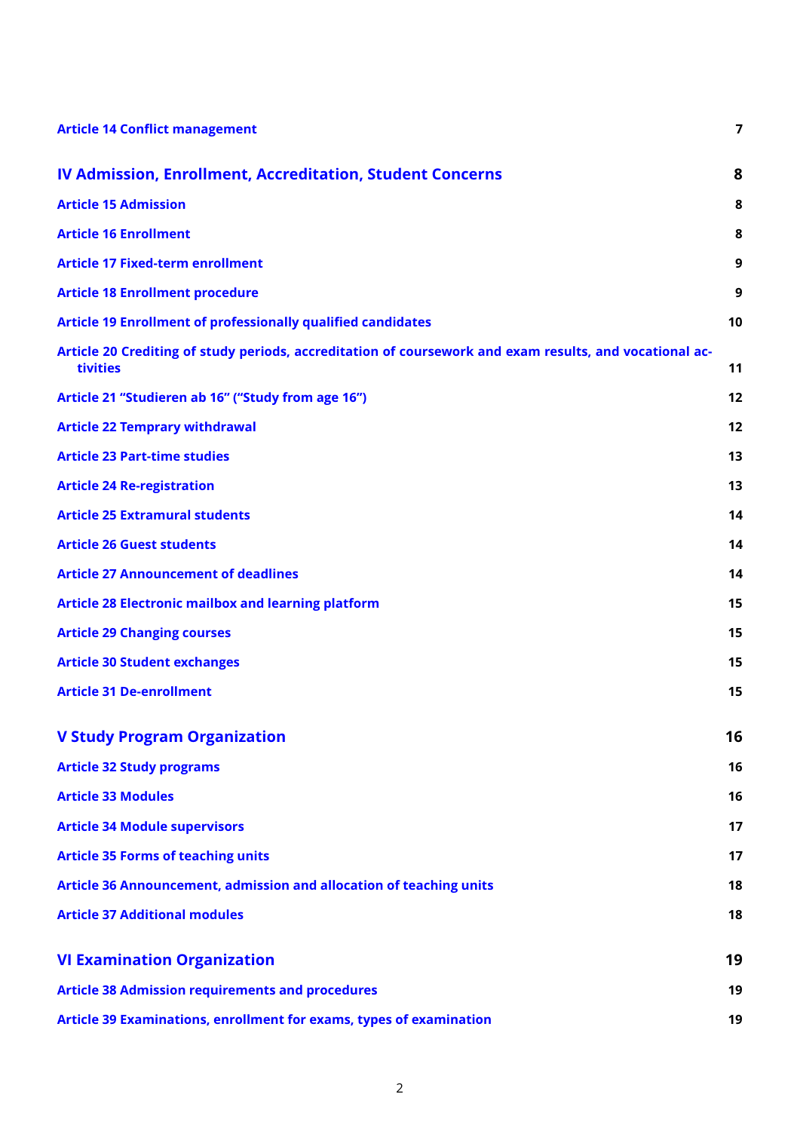| <b>Article 14 Conflict management</b>                                                                               | 7  |
|---------------------------------------------------------------------------------------------------------------------|----|
| <b>IV Admission, Enrollment, Accreditation, Student Concerns</b>                                                    | 8  |
| <b>Article 15 Admission</b>                                                                                         | 8  |
| <b>Article 16 Enrollment</b>                                                                                        | 8  |
| <b>Article 17 Fixed-term enrollment</b>                                                                             | 9  |
| <b>Article 18 Enrollment procedure</b>                                                                              | 9  |
| <b>Article 19 Enrollment of professionally qualified candidates</b>                                                 | 10 |
| Article 20 Crediting of study periods, accreditation of coursework and exam results, and vocational ac-<br>tivities | 11 |
| Article 21 "Studieren ab 16" ("Study from age 16")                                                                  | 12 |
| <b>Article 22 Temprary withdrawal</b>                                                                               | 12 |
| <b>Article 23 Part-time studies</b>                                                                                 | 13 |
| <b>Article 24 Re-registration</b>                                                                                   | 13 |
| <b>Article 25 Extramural students</b>                                                                               | 14 |
| <b>Article 26 Guest students</b>                                                                                    | 14 |
| <b>Article 27 Announcement of deadlines</b>                                                                         | 14 |
| <b>Article 28 Electronic mailbox and learning platform</b>                                                          | 15 |
| <b>Article 29 Changing courses</b>                                                                                  | 15 |
| <b>Article 30 Student exchanges</b>                                                                                 | 15 |
| <b>Article 31 De-enrollment</b>                                                                                     | 15 |
| <b>V Study Program Organization</b>                                                                                 | 16 |
| <b>Article 32 Study programs</b>                                                                                    | 16 |
| <b>Article 33 Modules</b>                                                                                           | 16 |
| <b>Article 34 Module supervisors</b>                                                                                | 17 |
| <b>Article 35 Forms of teaching units</b>                                                                           | 17 |
| Article 36 Announcement, admission and allocation of teaching units                                                 | 18 |
| <b>Article 37 Additional modules</b>                                                                                | 18 |
| <b>VI Examination Organization</b>                                                                                  | 19 |
| <b>Article 38 Admission requirements and procedures</b>                                                             | 19 |
| Article 39 Examinations, enrollment for exams, types of examination                                                 | 19 |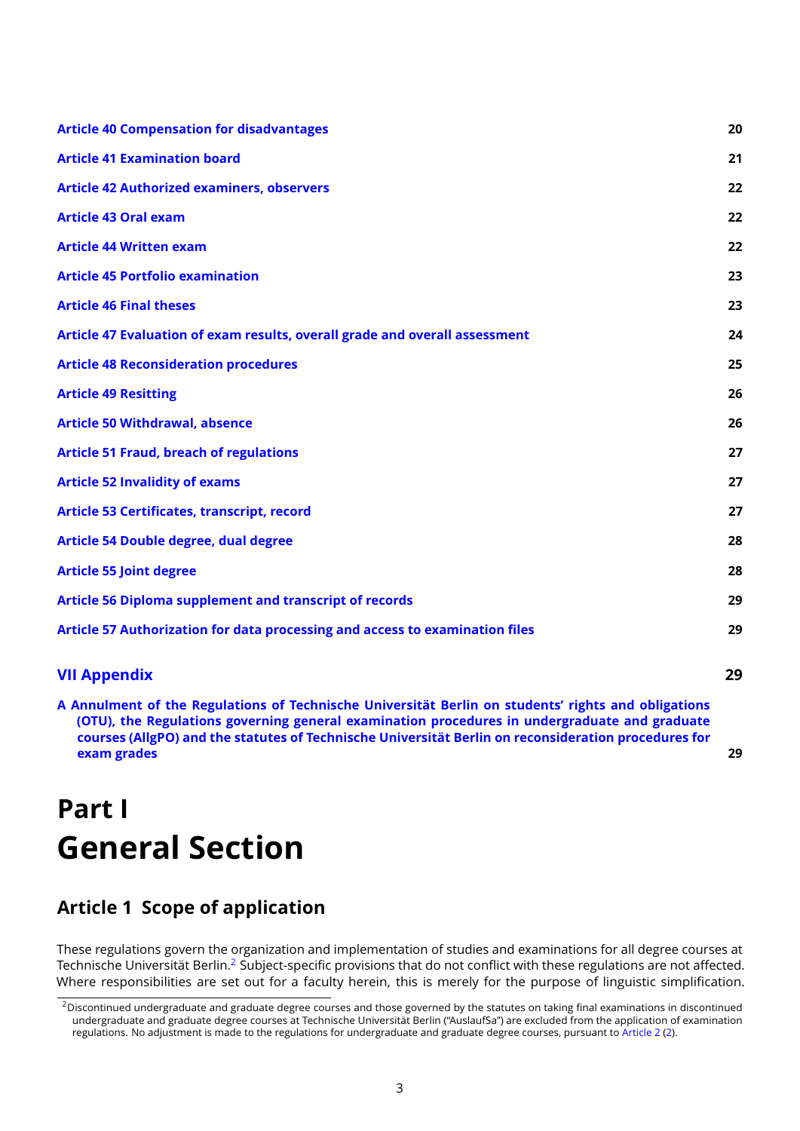| <b>Article 40 Compensation for disadvantages</b>                             | 20 |
|------------------------------------------------------------------------------|----|
| <b>Article 41 Examination board</b>                                          | 21 |
| <b>Article 42 Authorized examiners, observers</b>                            | 22 |
| <b>Article 43 Oral exam</b>                                                  | 22 |
| <b>Article 44 Written exam</b>                                               | 22 |
| <b>Article 45 Portfolio examination</b>                                      | 23 |
| <b>Article 46 Final theses</b>                                               | 23 |
| Article 47 Evaluation of exam results, overall grade and overall assessment  | 24 |
| <b>Article 48 Reconsideration procedures</b>                                 | 25 |
| <b>Article 49 Resitting</b>                                                  | 26 |
| <b>Article 50 Withdrawal, absence</b>                                        | 26 |
| <b>Article 51 Fraud, breach of regulations</b>                               | 27 |
| <b>Article 52 Invalidity of exams</b>                                        | 27 |
| <b>Article 53 Certificates, transcript, record</b>                           | 27 |
| Article 54 Double degree, dual degree                                        | 28 |
| <b>Article 55 Joint degree</b>                                               | 28 |
| <b>Article 56 Diploma supplement and transcript of records</b>               | 29 |
| Article 57 Authorization for data processing and access to examination files | 29 |
| <b>VII Appendix</b>                                                          | 29 |

**[A Annulment of the Regulations of Technische Universität Berlin on students'](#page-28-3) rights and obligations [\(OTU\), the Regulations governing general examination procedures in undergraduate and graduate](#page-28-3) [courses \(AllgPO\) and the statutes of Technische Universität Berlin on reconsideration procedures for](#page-28-3) [exam grades](#page-28-3) 29**

# <span id="page-2-0"></span>**Part I General Section**

# <span id="page-2-1"></span>**Article 1 Scope of application**

These regulations govern the organization and implementation of studies and examinations for all degree courses at Technische Universität Berlin.<sup>[2](#page-2-2)</sup> Subject-specific provisions that do not conflict with these regulations are not affected. Where responsibilities are set out for a faculty herein, this is merely for the purpose of linguistic simplification.

<span id="page-2-2"></span><sup>&</sup>lt;sup>2</sup>Discontinued undergraduate and graduate degree courses and those governed by the statutes on taking final examinations in discontinued undergraduate and graduate degree courses at Technische Universität Berlin ("AuslaufSa") are excluded from the application of examination regulations. No adjustment is made to the regulations for undergraduate and graduate degree courses, pursuant to [Article 2](#page-3-0) [\(2\)](#page-3-4).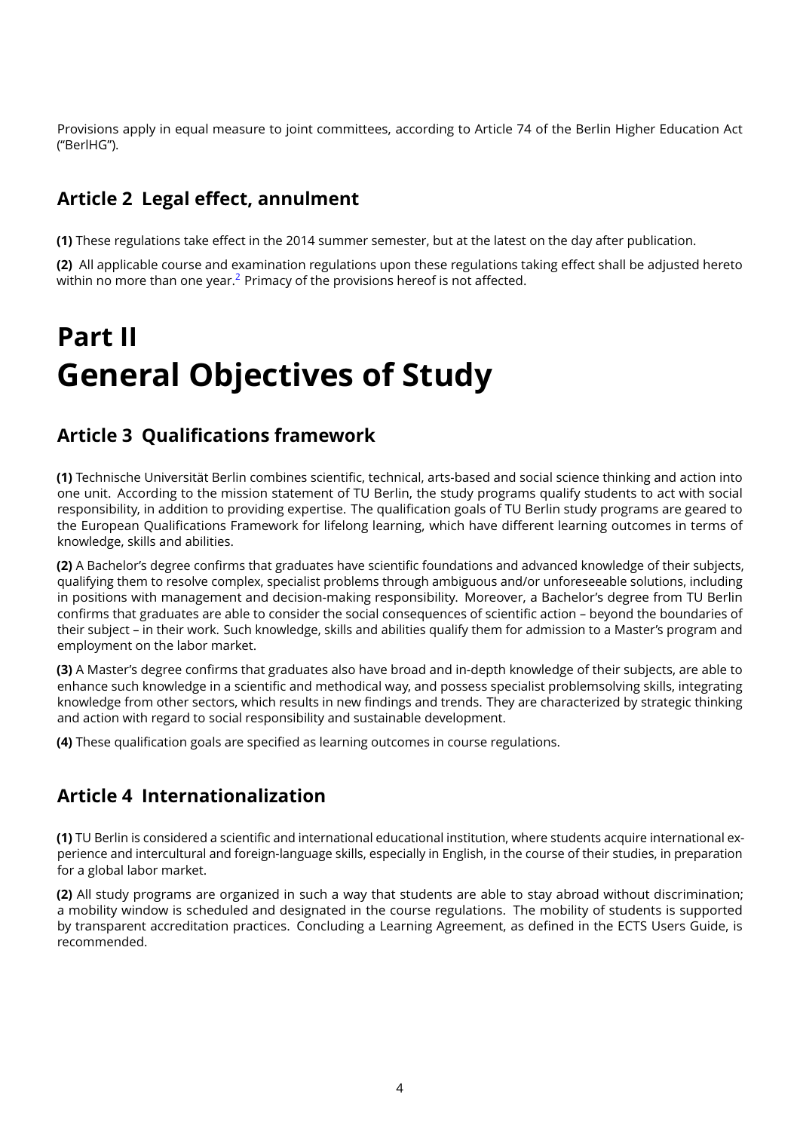Provisions apply in equal measure to joint committees, according to Article 74 of the Berlin Higher Education Act ("BerlHG").

# <span id="page-3-0"></span>**Article 2 Legal effect, annulment**

**(1)** These regulations take effect in the 2014 summer semester, but at the latest on the day after publication.

<span id="page-3-4"></span>**(2)** All applicable course and examination regulations upon these regulations taking effect shall be adjusted hereto within no more than one year.<sup>[2](#page-2-2)</sup> Primacy of the provisions hereof is not affected.

# <span id="page-3-1"></span>**Part II General Objectives of Study**

#### <span id="page-3-2"></span>**Article 3 Qualifications framework**

**(1)** Technische Universität Berlin combines scientific, technical, arts-based and social science thinking and action into one unit. According to the mission statement of TU Berlin, the study programs qualify students to act with social responsibility, in addition to providing expertise. The qualification goals of TU Berlin study programs are geared to the European Qualifications Framework for lifelong learning, which have different learning outcomes in terms of knowledge, skills and abilities.

**(2)** A Bachelor's degree confirms that graduates have scientific foundations and advanced knowledge of their subjects, qualifying them to resolve complex, specialist problems through ambiguous and/or unforeseeable solutions, including in positions with management and decision-making responsibility. Moreover, a Bachelor's degree from TU Berlin confirms that graduates are able to consider the social consequences of scientific action – beyond the boundaries of their subject – in their work. Such knowledge, skills and abilities qualify them for admission to a Master's program and employment on the labor market.

**(3)** A Master's degree confirms that graduates also have broad and in-depth knowledge of their subjects, are able to enhance such knowledge in a scientific and methodical way, and possess specialist problemsolving skills, integrating knowledge from other sectors, which results in new findings and trends. They are characterized by strategic thinking and action with regard to social responsibility and sustainable development.

**(4)** These qualification goals are specified as learning outcomes in course regulations.

### <span id="page-3-3"></span>**Article 4 Internationalization**

**(1)** TU Berlin is considered a scientific and international educational institution, where students acquire international experience and intercultural and foreign-language skills, especially in English, in the course of their studies, in preparation for a global labor market.

**(2)** All study programs are organized in such a way that students are able to stay abroad without discrimination; a mobility window is scheduled and designated in the course regulations. The mobility of students is supported by transparent accreditation practices. Concluding a Learning Agreement, as defined in the ECTS Users Guide, is recommended.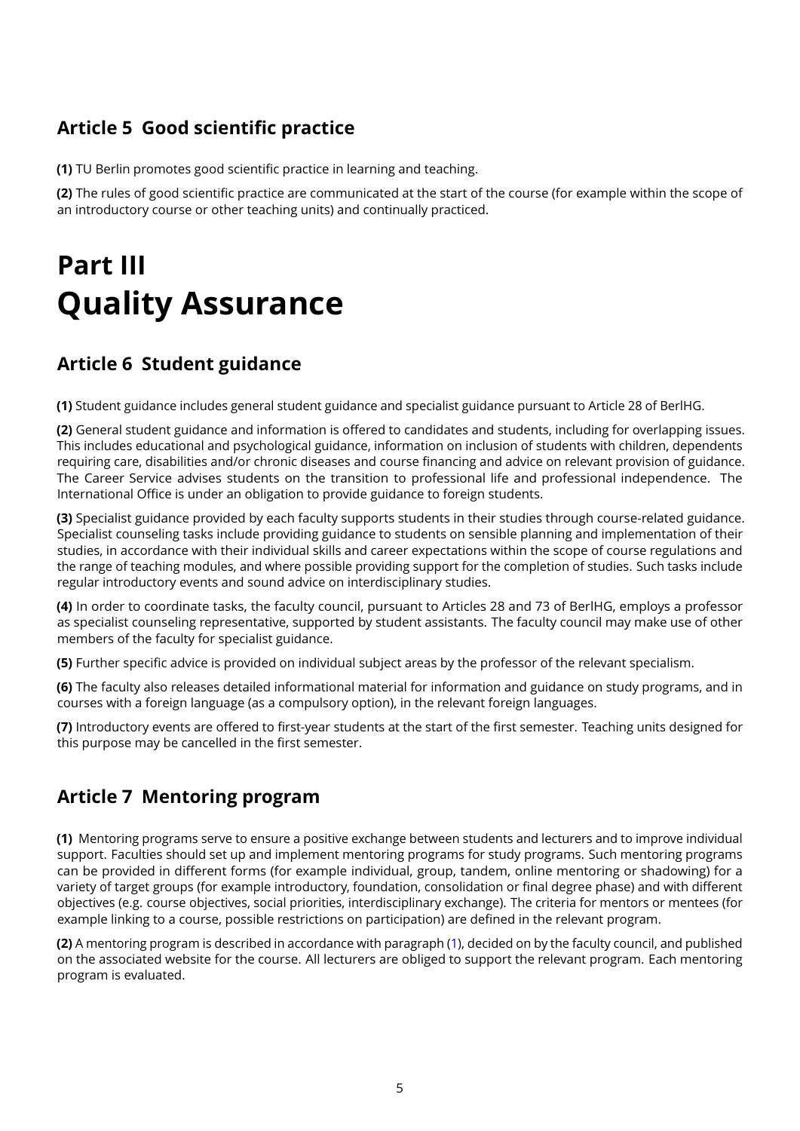# <span id="page-4-0"></span>**Article 5 Good scientific practice**

**(1)** TU Berlin promotes good scientific practice in learning and teaching.

**(2)** The rules of good scientific practice are communicated at the start of the course (for example within the scope of an introductory course or other teaching units) and continually practiced.

# <span id="page-4-1"></span>**Part III Quality Assurance**

### <span id="page-4-2"></span>**Article 6 Student guidance**

**(1)** Student guidance includes general student guidance and specialist guidance pursuant to Article 28 of BerlHG.

**(2)** General student guidance and information is offered to candidates and students, including for overlapping issues. This includes educational and psychological guidance, information on inclusion of students with children, dependents requiring care, disabilities and/or chronic diseases and course financing and advice on relevant provision of guidance. The Career Service advises students on the transition to professional life and professional independence. The International Office is under an obligation to provide guidance to foreign students.

**(3)** Specialist guidance provided by each faculty supports students in their studies through course-related guidance. Specialist counseling tasks include providing guidance to students on sensible planning and implementation of their studies, in accordance with their individual skills and career expectations within the scope of course regulations and the range of teaching modules, and where possible providing support for the completion of studies. Such tasks include regular introductory events and sound advice on interdisciplinary studies.

**(4)** In order to coordinate tasks, the faculty council, pursuant to Articles 28 and 73 of BerlHG, employs a professor as specialist counseling representative, supported by student assistants. The faculty council may make use of other members of the faculty for specialist guidance.

**(5)** Further specific advice is provided on individual subject areas by the professor of the relevant specialism.

**(6)** The faculty also releases detailed informational material for information and guidance on study programs, and in courses with a foreign language (as a compulsory option), in the relevant foreign languages.

**(7)** Introductory events are offered to first-year students at the start of the first semester. Teaching units designed for this purpose may be cancelled in the first semester.

### <span id="page-4-3"></span>**Article 7 Mentoring program**

<span id="page-4-4"></span>**(1)** Mentoring programs serve to ensure a positive exchange between students and lecturers and to improve individual support. Faculties should set up and implement mentoring programs for study programs. Such mentoring programs can be provided in different forms (for example individual, group, tandem, online mentoring or shadowing) for a variety of target groups (for example introductory, foundation, consolidation or final degree phase) and with different objectives (e.g. course objectives, social priorities, interdisciplinary exchange). The criteria for mentors or mentees (for example linking to a course, possible restrictions on participation) are defined in the relevant program.

**(2)** A mentoring program is described in accordance with paragraph [\(1\)](#page-4-4), decided on by the faculty council, and published on the associated website for the course. All lecturers are obliged to support the relevant program. Each mentoring program is evaluated.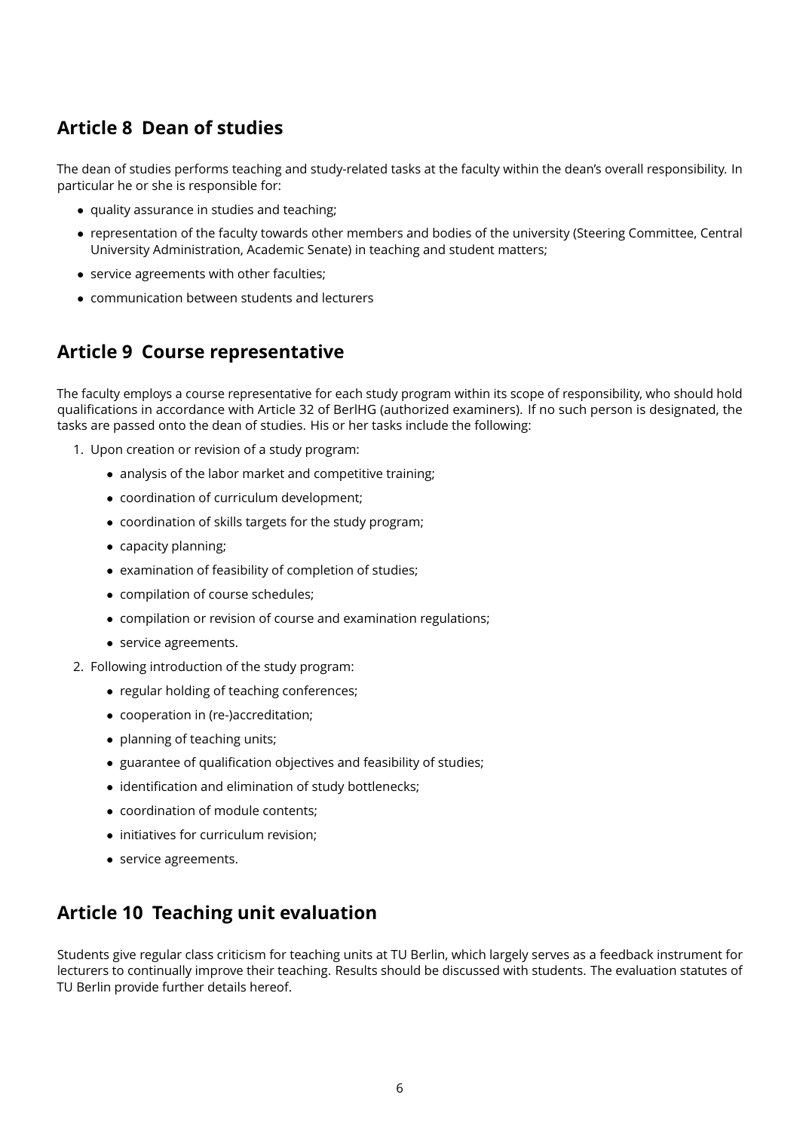# <span id="page-5-0"></span>**Article 8 Dean of studies**

The dean of studies performs teaching and study-related tasks at the faculty within the dean's overall responsibility. In particular he or she is responsible for:

- quality assurance in studies and teaching;
- representation of the faculty towards other members and bodies of the university (Steering Committee, Central University Administration, Academic Senate) in teaching and student matters;
- service agreements with other faculties;
- communication between students and lecturers

#### <span id="page-5-1"></span>**Article 9 Course representative**

The faculty employs a course representative for each study program within its scope of responsibility, who should hold qualifications in accordance with Article 32 of BerlHG (authorized examiners). If no such person is designated, the tasks are passed onto the dean of studies. His or her tasks include the following:

- 1. Upon creation or revision of a study program:
	- analysis of the labor market and competitive training;
	- coordination of curriculum development;
	- coordination of skills targets for the study program;
	- capacity planning;
	- examination of feasibility of completion of studies;
	- compilation of course schedules;
	- compilation or revision of course and examination regulations;
	- service agreements.
- 2. Following introduction of the study program:
	- regular holding of teaching conferences;
	- cooperation in (re-)accreditation;
	- planning of teaching units;
	- guarantee of qualification objectives and feasibility of studies;
	- identification and elimination of study bottlenecks;
	- coordination of module contents;
	- initiatives for curriculum revision;
	- service agreements.

### <span id="page-5-2"></span>**Article 10 Teaching unit evaluation**

Students give regular class criticism for teaching units at TU Berlin, which largely serves as a feedback instrument for lecturers to continually improve their teaching. Results should be discussed with students. The evaluation statutes of TU Berlin provide further details hereof.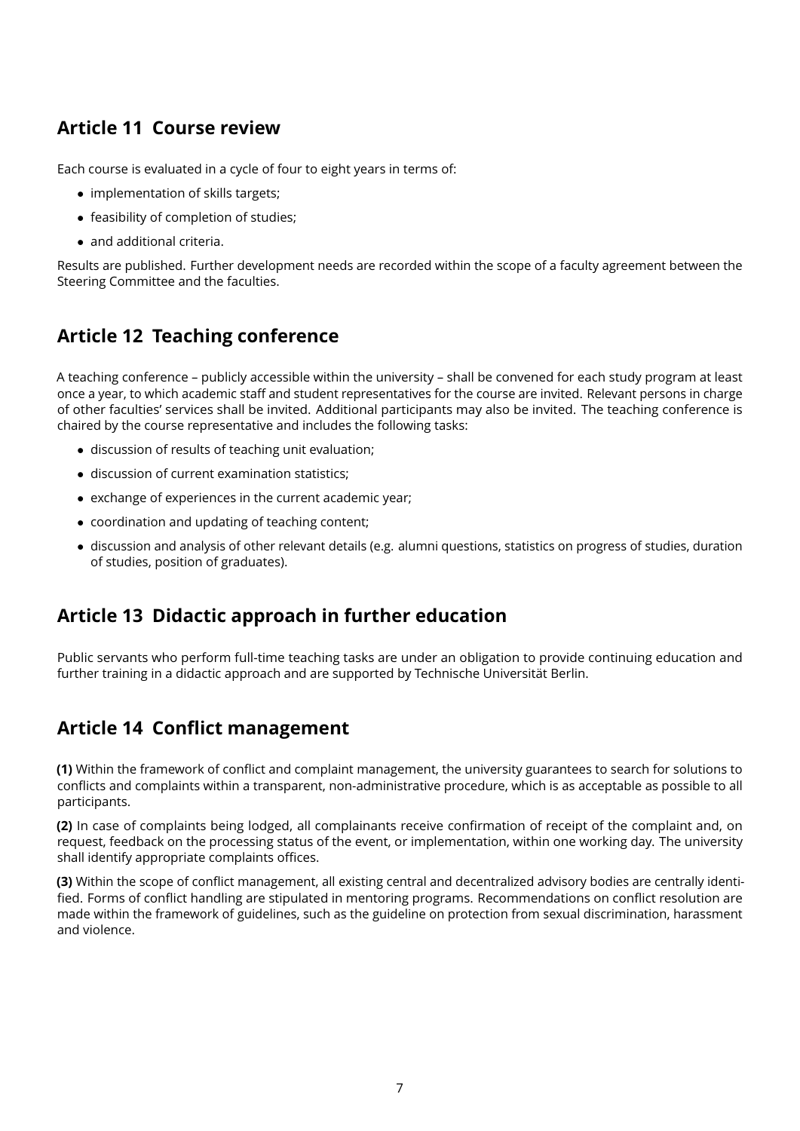# <span id="page-6-0"></span>**Article 11 Course review**

Each course is evaluated in a cycle of four to eight years in terms of:

- implementation of skills targets;
- feasibility of completion of studies;
- and additional criteria.

Results are published. Further development needs are recorded within the scope of a faculty agreement between the Steering Committee and the faculties.

# <span id="page-6-1"></span>**Article 12 Teaching conference**

A teaching conference – publicly accessible within the university – shall be convened for each study program at least once a year, to which academic staff and student representatives for the course are invited. Relevant persons in charge of other faculties' services shall be invited. Additional participants may also be invited. The teaching conference is chaired by the course representative and includes the following tasks:

- discussion of results of teaching unit evaluation;
- discussion of current examination statistics;
- exchange of experiences in the current academic year;
- coordination and updating of teaching content;
- discussion and analysis of other relevant details (e.g. alumni questions, statistics on progress of studies, duration of studies, position of graduates).

### <span id="page-6-2"></span>**Article 13 Didactic approach in further education**

Public servants who perform full-time teaching tasks are under an obligation to provide continuing education and further training in a didactic approach and are supported by Technische Universität Berlin.

### <span id="page-6-3"></span>**Article 14 Conflict management**

**(1)** Within the framework of conflict and complaint management, the university guarantees to search for solutions to conflicts and complaints within a transparent, non-administrative procedure, which is as acceptable as possible to all participants.

**(2)** In case of complaints being lodged, all complainants receive confirmation of receipt of the complaint and, on request, feedback on the processing status of the event, or implementation, within one working day. The university shall identify appropriate complaints offices.

**(3)** Within the scope of conflict management, all existing central and decentralized advisory bodies are centrally identified. Forms of conflict handling are stipulated in mentoring programs. Recommendations on conflict resolution are made within the framework of guidelines, such as the guideline on protection from sexual discrimination, harassment and violence.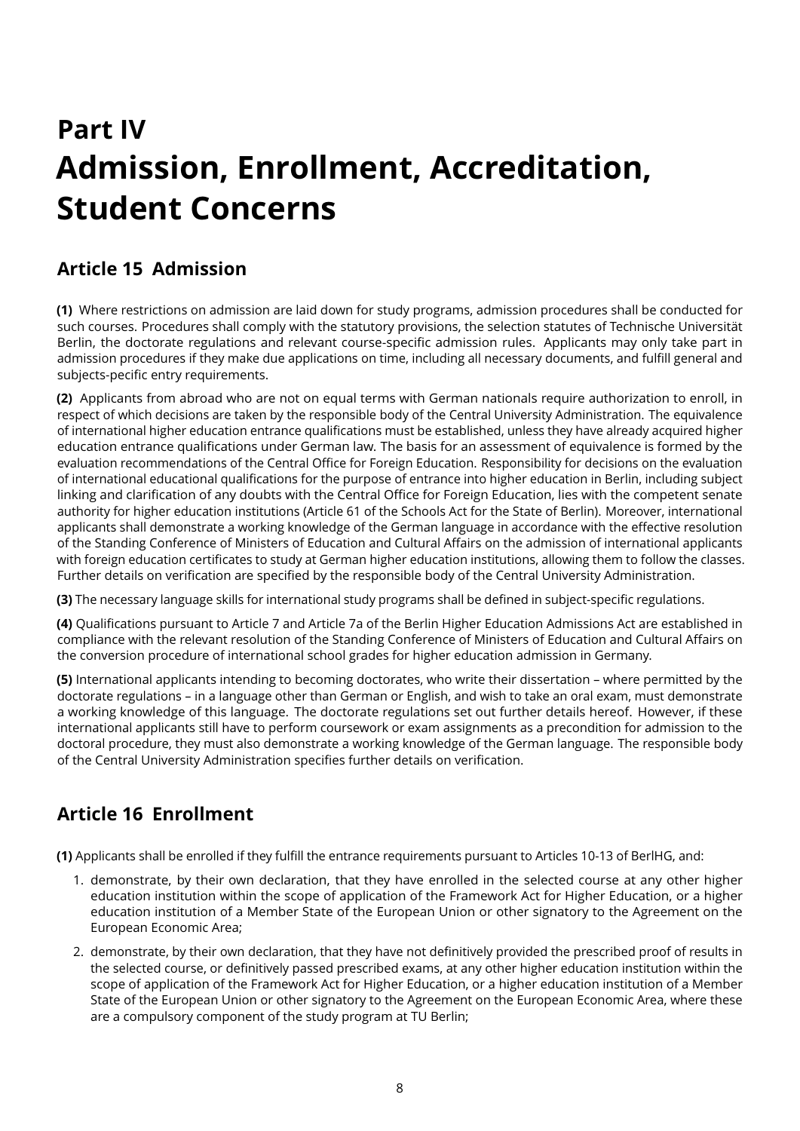# <span id="page-7-0"></span>**Part IV Admission, Enrollment, Accreditation, Student Concerns**

# <span id="page-7-1"></span>**Article 15 Admission**

<span id="page-7-4"></span>**(1)** Where restrictions on admission are laid down for study programs, admission procedures shall be conducted for such courses. Procedures shall comply with the statutory provisions, the selection statutes of Technische Universität Berlin, the doctorate regulations and relevant course-specific admission rules. Applicants may only take part in admission procedures if they make due applications on time, including all necessary documents, and fulfill general and subjects-pecific entry requirements.

<span id="page-7-3"></span>**(2)** Applicants from abroad who are not on equal terms with German nationals require authorization to enroll, in respect of which decisions are taken by the responsible body of the Central University Administration. The equivalence of international higher education entrance qualifications must be established, unless they have already acquired higher education entrance qualifications under German law. The basis for an assessment of equivalence is formed by the evaluation recommendations of the Central Office for Foreign Education. Responsibility for decisions on the evaluation of international educational qualifications for the purpose of entrance into higher education in Berlin, including subject linking and clarification of any doubts with the Central Office for Foreign Education, lies with the competent senate authority for higher education institutions (Article 61 of the Schools Act for the State of Berlin). Moreover, international applicants shall demonstrate a working knowledge of the German language in accordance with the effective resolution of the Standing Conference of Ministers of Education and Cultural Affairs on the admission of international applicants with foreign education certificates to study at German higher education institutions, allowing them to follow the classes. Further details on verification are specified by the responsible body of the Central University Administration.

**(3)** The necessary language skills for international study programs shall be defined in subject-specific regulations.

**(4)** Qualifications pursuant to Article 7 and Article 7a of the Berlin Higher Education Admissions Act are established in compliance with the relevant resolution of the Standing Conference of Ministers of Education and Cultural Affairs on the conversion procedure of international school grades for higher education admission in Germany.

**(5)** International applicants intending to becoming doctorates, who write their dissertation – where permitted by the doctorate regulations – in a language other than German or English, and wish to take an oral exam, must demonstrate a working knowledge of this language. The doctorate regulations set out further details hereof. However, if these international applicants still have to perform coursework or exam assignments as a precondition for admission to the doctoral procedure, they must also demonstrate a working knowledge of the German language. The responsible body of the Central University Administration specifies further details on verification.

# <span id="page-7-2"></span>**Article 16 Enrollment**

**(1)** Applicants shall be enrolled if they fulfill the entrance requirements pursuant to Articles 10-13 of BerlHG, and:

- 1. demonstrate, by their own declaration, that they have enrolled in the selected course at any other higher education institution within the scope of application of the Framework Act for Higher Education, or a higher education institution of a Member State of the European Union or other signatory to the Agreement on the European Economic Area;
- 2. demonstrate, by their own declaration, that they have not definitively provided the prescribed proof of results in the selected course, or definitively passed prescribed exams, at any other higher education institution within the scope of application of the Framework Act for Higher Education, or a higher education institution of a Member State of the European Union or other signatory to the Agreement on the European Economic Area, where these are a compulsory component of the study program at TU Berlin;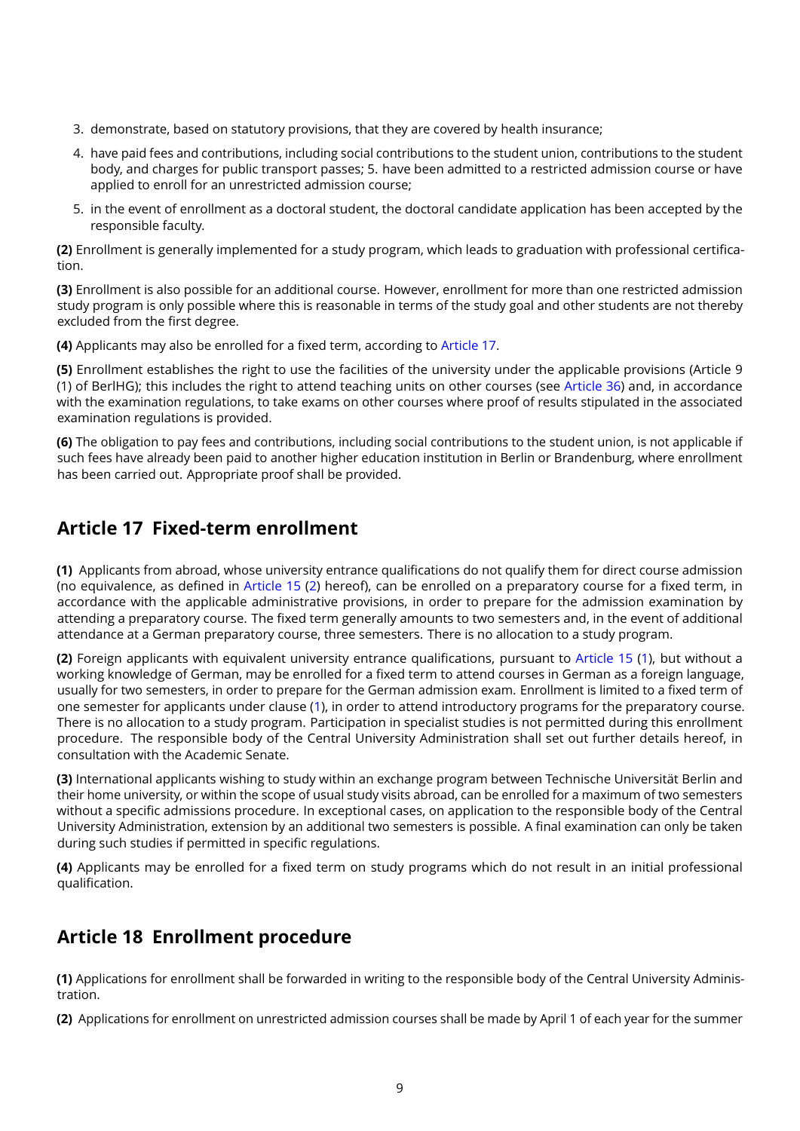- 3. demonstrate, based on statutory provisions, that they are covered by health insurance;
- 4. have paid fees and contributions, including social contributions to the student union, contributions to the student body, and charges for public transport passes; 5. have been admitted to a restricted admission course or have applied to enroll for an unrestricted admission course;
- 5. in the event of enrollment as a doctoral student, the doctoral candidate application has been accepted by the responsible faculty.

**(2)** Enrollment is generally implemented for a study program, which leads to graduation with professional certification.

**(3)** Enrollment is also possible for an additional course. However, enrollment for more than one restricted admission study program is only possible where this is reasonable in terms of the study goal and other students are not thereby excluded from the first degree.

**(4)** Applicants may also be enrolled for a fixed term, according to [Article 17.](#page-8-0)

**(5)** Enrollment establishes the right to use the facilities of the university under the applicable provisions (Article 9 (1) of BerlHG); this includes the right to attend teaching units on other courses (see [Article 36\)](#page-17-0) and, in accordance with the examination regulations, to take exams on other courses where proof of results stipulated in the associated examination regulations is provided.

**(6)** The obligation to pay fees and contributions, including social contributions to the student union, is not applicable if such fees have already been paid to another higher education institution in Berlin or Brandenburg, where enrollment has been carried out. Appropriate proof shall be provided.

#### <span id="page-8-0"></span>**Article 17 Fixed-term enrollment**

<span id="page-8-2"></span>**(1)** Applicants from abroad, whose university entrance qualifications do not qualify them for direct course admission (no equivalence, as defined in [Article 15](#page-7-1) [\(2\)](#page-7-3) hereof), can be enrolled on a preparatory course for a fixed term, in accordance with the applicable administrative provisions, in order to prepare for the admission examination by attending a preparatory course. The fixed term generally amounts to two semesters and, in the event of additional attendance at a German preparatory course, three semesters. There is no allocation to a study program.

**(2)** Foreign applicants with equivalent university entrance qualifications, pursuant to [Article 15](#page-7-1) [\(1\)](#page-7-4), but without a working knowledge of German, may be enrolled for a fixed term to attend courses in German as a foreign language, usually for two semesters, in order to prepare for the German admission exam. Enrollment is limited to a fixed term of one semester for applicants under clause [\(1\)](#page-8-2), in order to attend introductory programs for the preparatory course. There is no allocation to a study program. Participation in specialist studies is not permitted during this enrollment procedure. The responsible body of the Central University Administration shall set out further details hereof, in consultation with the Academic Senate.

**(3)** International applicants wishing to study within an exchange program between Technische Universität Berlin and their home university, or within the scope of usual study visits abroad, can be enrolled for a maximum of two semesters without a specific admissions procedure. In exceptional cases, on application to the responsible body of the Central University Administration, extension by an additional two semesters is possible. A final examination can only be taken during such studies if permitted in specific regulations.

**(4)** Applicants may be enrolled for a fixed term on study programs which do not result in an initial professional qualification.

### <span id="page-8-1"></span>**Article 18 Enrollment procedure**

**(1)** Applications for enrollment shall be forwarded in writing to the responsible body of the Central University Administration.

<span id="page-8-3"></span>**(2)** Applications for enrollment on unrestricted admission courses shall be made by April 1 of each year for the summer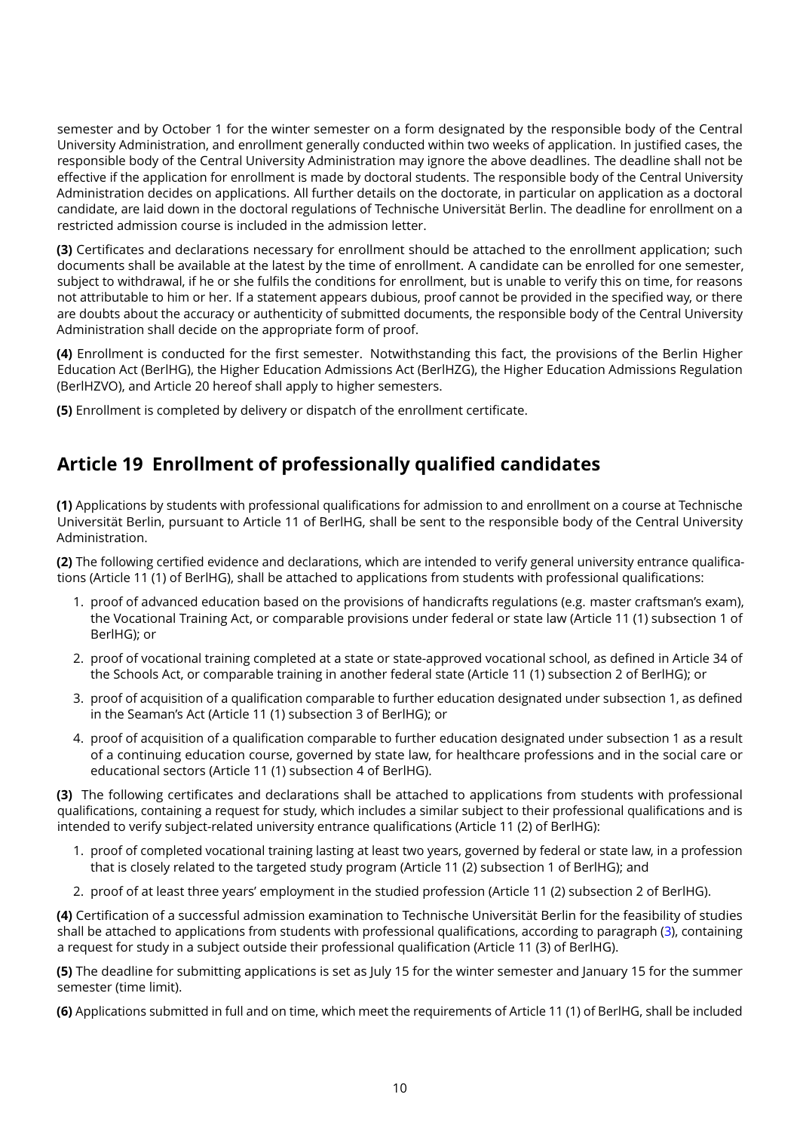semester and by October 1 for the winter semester on a form designated by the responsible body of the Central University Administration, and enrollment generally conducted within two weeks of application. In justified cases, the responsible body of the Central University Administration may ignore the above deadlines. The deadline shall not be effective if the application for enrollment is made by doctoral students. The responsible body of the Central University Administration decides on applications. All further details on the doctorate, in particular on application as a doctoral candidate, are laid down in the doctoral regulations of Technische Universität Berlin. The deadline for enrollment on a restricted admission course is included in the admission letter.

**(3)** Certificates and declarations necessary for enrollment should be attached to the enrollment application; such documents shall be available at the latest by the time of enrollment. A candidate can be enrolled for one semester, subject to withdrawal, if he or she fulfils the conditions for enrollment, but is unable to verify this on time, for reasons not attributable to him or her. If a statement appears dubious, proof cannot be provided in the specified way, or there are doubts about the accuracy or authenticity of submitted documents, the responsible body of the Central University Administration shall decide on the appropriate form of proof.

**(4)** Enrollment is conducted for the first semester. Notwithstanding this fact, the provisions of the Berlin Higher Education Act (BerlHG), the Higher Education Admissions Act (BerlHZG), the Higher Education Admissions Regulation (BerlHZVO), and Article 20 hereof shall apply to higher semesters.

**(5)** Enrollment is completed by delivery or dispatch of the enrollment certificate.

#### <span id="page-9-0"></span>**Article 19 Enrollment of professionally qualified candidates**

**(1)** Applications by students with professional qualifications for admission to and enrollment on a course at Technische Universität Berlin, pursuant to Article 11 of BerlHG, shall be sent to the responsible body of the Central University Administration.

**(2)** The following certified evidence and declarations, which are intended to verify general university entrance qualifications (Article 11 (1) of BerlHG), shall be attached to applications from students with professional qualifications:

- 1. proof of advanced education based on the provisions of handicrafts regulations (e.g. master craftsman's exam), the Vocational Training Act, or comparable provisions under federal or state law (Article 11 (1) subsection 1 of BerlHG); or
- 2. proof of vocational training completed at a state or state-approved vocational school, as defined in Article 34 of the Schools Act, or comparable training in another federal state (Article 11 (1) subsection 2 of BerlHG); or
- 3. proof of acquisition of a qualification comparable to further education designated under subsection 1, as defined in the Seaman's Act (Article 11 (1) subsection 3 of BerlHG); or
- 4. proof of acquisition of a qualification comparable to further education designated under subsection 1 as a result of a continuing education course, governed by state law, for healthcare professions and in the social care or educational sectors (Article 11 (1) subsection 4 of BerlHG).

<span id="page-9-1"></span>**(3)** The following certificates and declarations shall be attached to applications from students with professional qualifications, containing a request for study, which includes a similar subject to their professional qualifications and is intended to verify subject-related university entrance qualifications (Article 11 (2) of BerlHG):

- 1. proof of completed vocational training lasting at least two years, governed by federal or state law, in a profession that is closely related to the targeted study program (Article 11 (2) subsection 1 of BerlHG); and
- 2. proof of at least three years' employment in the studied profession (Article 11 (2) subsection 2 of BerlHG).

**(4)** Certification of a successful admission examination to Technische Universität Berlin for the feasibility of studies shall be attached to applications from students with professional qualifications, according to paragraph [\(3\)](#page-9-1), containing a request for study in a subject outside their professional qualification (Article 11 (3) of BerlHG).

**(5)** The deadline for submitting applications is set as July 15 for the winter semester and January 15 for the summer semester (time limit).

**(6)** Applications submitted in full and on time, which meet the requirements of Article 11 (1) of BerlHG, shall be included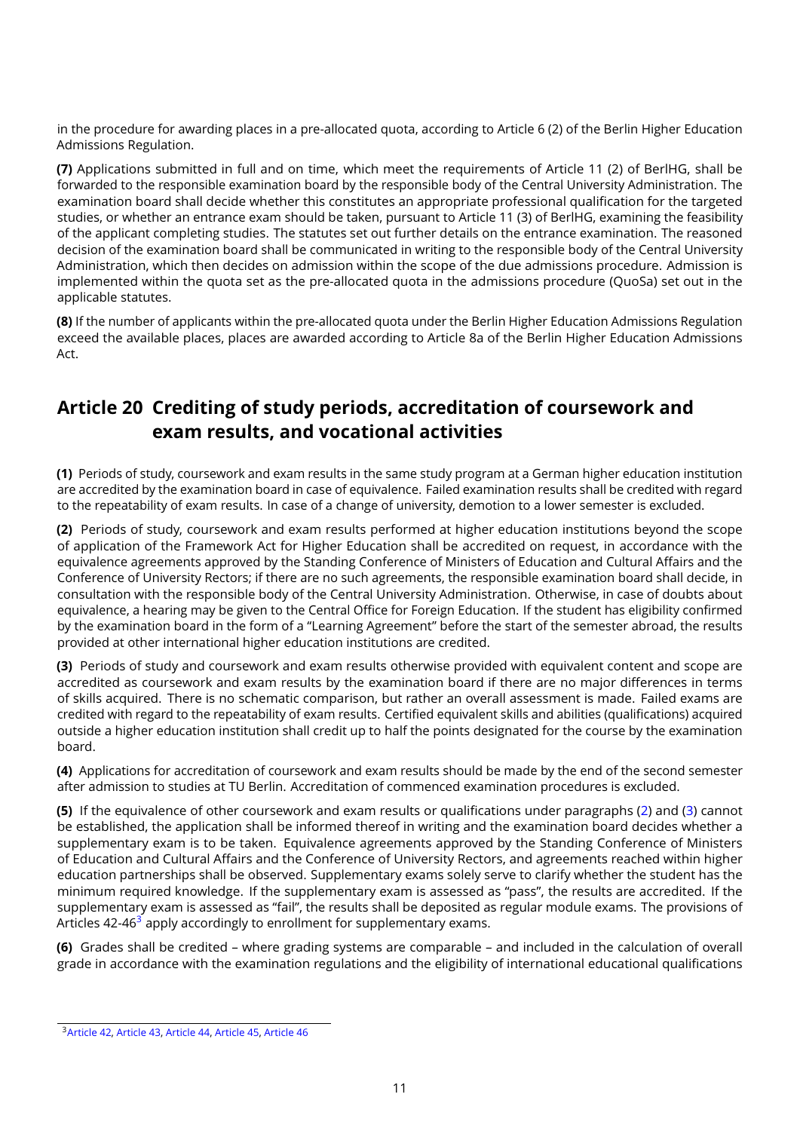in the procedure for awarding places in a pre-allocated quota, according to Article 6 (2) of the Berlin Higher Education Admissions Regulation.

**(7)** Applications submitted in full and on time, which meet the requirements of Article 11 (2) of BerlHG, shall be forwarded to the responsible examination board by the responsible body of the Central University Administration. The examination board shall decide whether this constitutes an appropriate professional qualification for the targeted studies, or whether an entrance exam should be taken, pursuant to Article 11 (3) of BerlHG, examining the feasibility of the applicant completing studies. The statutes set out further details on the entrance examination. The reasoned decision of the examination board shall be communicated in writing to the responsible body of the Central University Administration, which then decides on admission within the scope of the due admissions procedure. Admission is implemented within the quota set as the pre-allocated quota in the admissions procedure (QuoSa) set out in the applicable statutes.

**(8)** If the number of applicants within the pre-allocated quota under the Berlin Higher Education Admissions Regulation exceed the available places, places are awarded according to Article 8a of the Berlin Higher Education Admissions Act.

#### <span id="page-10-0"></span>**Article 20 Crediting of study periods, accreditation of coursework and exam results, and vocational activities**

<span id="page-10-4"></span>**(1)** Periods of study, coursework and exam results in the same study program at a German higher education institution are accredited by the examination board in case of equivalence. Failed examination results shall be credited with regard to the repeatability of exam results. In case of a change of university, demotion to a lower semester is excluded.

<span id="page-10-1"></span>**(2)** Periods of study, coursework and exam results performed at higher education institutions beyond the scope of application of the Framework Act for Higher Education shall be accredited on request, in accordance with the equivalence agreements approved by the Standing Conference of Ministers of Education and Cultural Affairs and the Conference of University Rectors; if there are no such agreements, the responsible examination board shall decide, in consultation with the responsible body of the Central University Administration. Otherwise, in case of doubts about equivalence, a hearing may be given to the Central Office for Foreign Education. If the student has eligibility confirmed by the examination board in the form of a "Learning Agreement" before the start of the semester abroad, the results provided at other international higher education institutions are credited.

<span id="page-10-2"></span>**(3)** Periods of study and coursework and exam results otherwise provided with equivalent content and scope are accredited as coursework and exam results by the examination board if there are no major differences in terms of skills acquired. There is no schematic comparison, but rather an overall assessment is made. Failed exams are credited with regard to the repeatability of exam results. Certified equivalent skills and abilities (qualifications) acquired outside a higher education institution shall credit up to half the points designated for the course by the examination board.

<span id="page-10-5"></span>**(4)** Applications for accreditation of coursework and exam results should be made by the end of the second semester after admission to studies at TU Berlin. Accreditation of commenced examination procedures is excluded.

<span id="page-10-6"></span>**(5)** If the equivalence of other coursework and exam results or qualifications under paragraphs [\(2\)](#page-10-1) and [\(3\)](#page-10-2) cannot be established, the application shall be informed thereof in writing and the examination board decides whether a supplementary exam is to be taken. Equivalence agreements approved by the Standing Conference of Ministers of Education and Cultural Affairs and the Conference of University Rectors, and agreements reached within higher education partnerships shall be observed. Supplementary exams solely serve to clarify whether the student has the minimum required knowledge. If the supplementary exam is assessed as "pass", the results are accredited. If the supplementary exam is assessed as "fail", the results shall be deposited as regular module exams. The provisions of Articles  $42-46<sup>3</sup>$  $42-46<sup>3</sup>$  $42-46<sup>3</sup>$  apply accordingly to enrollment for supplementary exams.

<span id="page-10-7"></span>**(6)** Grades shall be credited – where grading systems are comparable – and included in the calculation of overall grade in accordance with the examination regulations and the eligibility of international educational qualifications

<span id="page-10-3"></span><sup>3</sup>[Article 42,](#page-21-0) [Article 43,](#page-21-1) [Article 44,](#page-21-2) [Article 45,](#page-22-0) [Article 46](#page-22-1)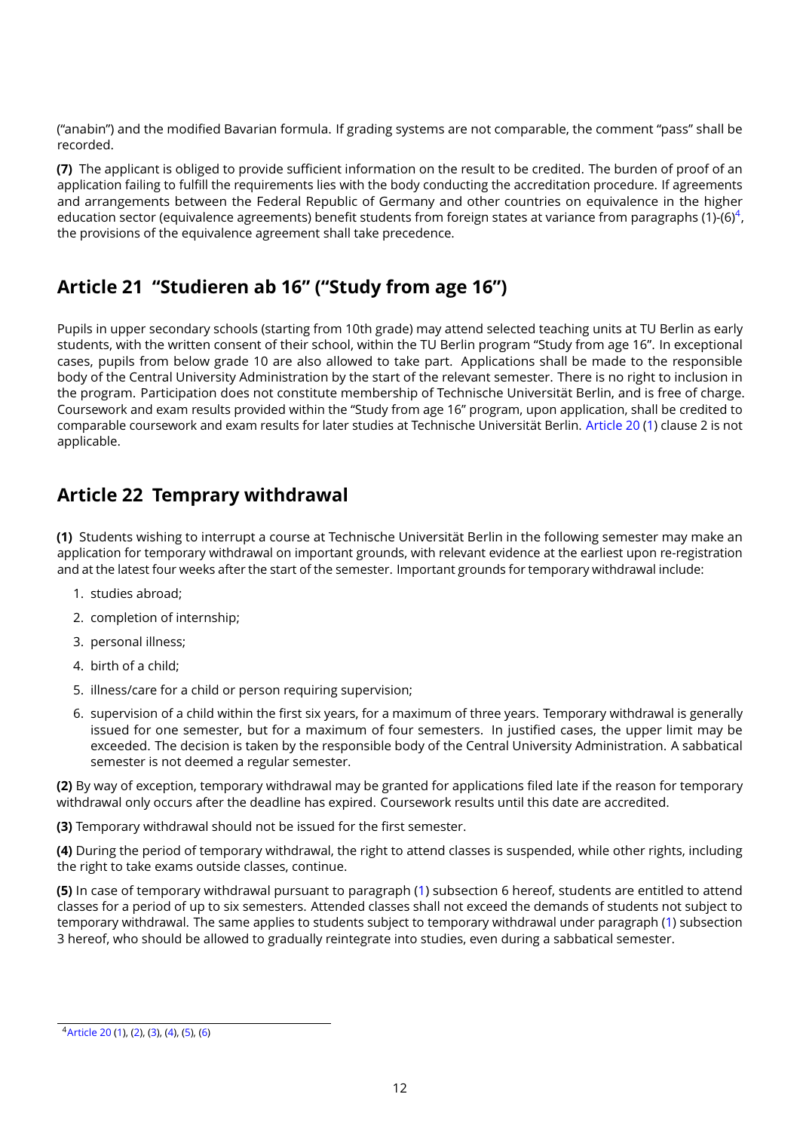("anabin") and the modified Bavarian formula. If grading systems are not comparable, the comment "pass" shall be recorded.

**(7)** The applicant is obliged to provide sufficient information on the result to be credited. The burden of proof of an application failing to fulfill the requirements lies with the body conducting the accreditation procedure. If agreements and arrangements between the Federal Republic of Germany and other countries on equivalence in the higher education sector (equivalence agreements) benefit students from foreign states at variance from paragraphs (1)-(6)<sup>[4](#page-11-2)</sup>. the provisions of the equivalence agreement shall take precedence.

# <span id="page-11-0"></span>**Article 21 "Studieren ab 16" ("Study from age 16")**

Pupils in upper secondary schools (starting from 10th grade) may attend selected teaching units at TU Berlin as early students, with the written consent of their school, within the TU Berlin program "Study from age 16". In exceptional cases, pupils from below grade 10 are also allowed to take part. Applications shall be made to the responsible body of the Central University Administration by the start of the relevant semester. There is no right to inclusion in the program. Participation does not constitute membership of Technische Universität Berlin, and is free of charge. Coursework and exam results provided within the "Study from age 16" program, upon application, shall be credited to comparable coursework and exam results for later studies at Technische Universität Berlin. [Article 20](#page-10-0) [\(1\)](#page-10-4) clause 2 is not applicable.

### <span id="page-11-1"></span>**Article 22 Temprary withdrawal**

<span id="page-11-3"></span>**(1)** Students wishing to interrupt a course at Technische Universität Berlin in the following semester may make an application for temporary withdrawal on important grounds, with relevant evidence at the earliest upon re-registration and at the latest four weeks after the start of the semester. Important grounds for temporary withdrawal include:

- 1. studies abroad;
- 2. completion of internship;
- 3. personal illness;
- 4. birth of a child;
- 5. illness/care for a child or person requiring supervision;
- 6. supervision of a child within the first six years, for a maximum of three years. Temporary withdrawal is generally issued for one semester, but for a maximum of four semesters. In justified cases, the upper limit may be exceeded. The decision is taken by the responsible body of the Central University Administration. A sabbatical semester is not deemed a regular semester.

**(2)** By way of exception, temporary withdrawal may be granted for applications filed late if the reason for temporary withdrawal only occurs after the deadline has expired. Coursework results until this date are accredited.

**(3)** Temporary withdrawal should not be issued for the first semester.

**(4)** During the period of temporary withdrawal, the right to attend classes is suspended, while other rights, including the right to take exams outside classes, continue.

**(5)** In case of temporary withdrawal pursuant to paragraph [\(1\)](#page-11-3) subsection 6 hereof, students are entitled to attend classes for a period of up to six semesters. Attended classes shall not exceed the demands of students not subject to temporary withdrawal. The same applies to students subject to temporary withdrawal under paragraph [\(1\)](#page-11-3) subsection 3 hereof, who should be allowed to gradually reintegrate into studies, even during a sabbatical semester.

<span id="page-11-2"></span><sup>4</sup>[Article 20](#page-10-0) [\(1\)](#page-10-4), [\(2\)](#page-10-1), [\(3\)](#page-10-2), [\(4\)](#page-10-5), [\(5\)](#page-10-6), [\(6\)](#page-10-7)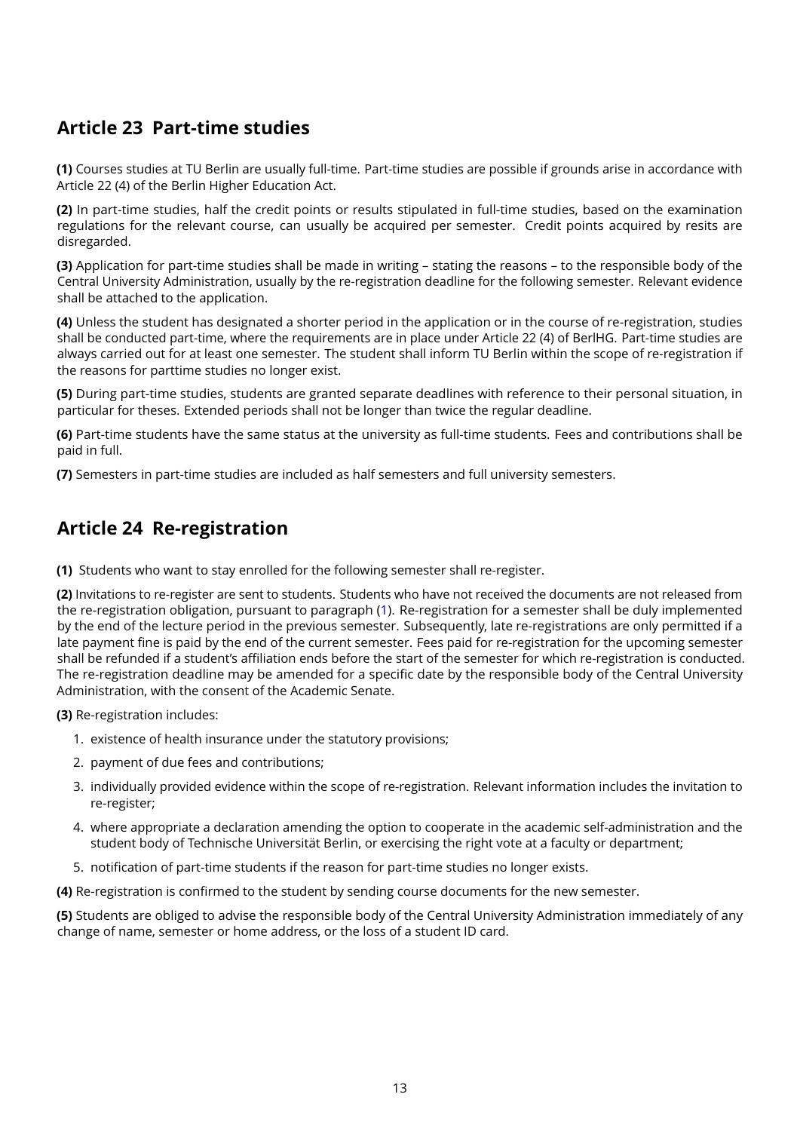# <span id="page-12-0"></span>**Article 23 Part-time studies**

**(1)** Courses studies at TU Berlin are usually full-time. Part-time studies are possible if grounds arise in accordance with Article 22 (4) of the Berlin Higher Education Act.

**(2)** In part-time studies, half the credit points or results stipulated in full-time studies, based on the examination regulations for the relevant course, can usually be acquired per semester. Credit points acquired by resits are disregarded.

**(3)** Application for part-time studies shall be made in writing – stating the reasons – to the responsible body of the Central University Administration, usually by the re-registration deadline for the following semester. Relevant evidence shall be attached to the application.

**(4)** Unless the student has designated a shorter period in the application or in the course of re-registration, studies shall be conducted part-time, where the requirements are in place under Article 22 (4) of BerlHG. Part-time studies are always carried out for at least one semester. The student shall inform TU Berlin within the scope of re-registration if the reasons for parttime studies no longer exist.

**(5)** During part-time studies, students are granted separate deadlines with reference to their personal situation, in particular for theses. Extended periods shall not be longer than twice the regular deadline.

**(6)** Part-time students have the same status at the university as full-time students. Fees and contributions shall be paid in full.

**(7)** Semesters in part-time studies are included as half semesters and full university semesters.

#### <span id="page-12-1"></span>**Article 24 Re-registration**

<span id="page-12-2"></span>**(1)** Students who want to stay enrolled for the following semester shall re-register.

**(2)** Invitations to re-register are sent to students. Students who have not received the documents are not released from the re-registration obligation, pursuant to paragraph [\(1\)](#page-12-2). Re-registration for a semester shall be duly implemented by the end of the lecture period in the previous semester. Subsequently, late re-registrations are only permitted if a late payment fine is paid by the end of the current semester. Fees paid for re-registration for the upcoming semester shall be refunded if a student's affiliation ends before the start of the semester for which re-registration is conducted. The re-registration deadline may be amended for a specific date by the responsible body of the Central University Administration, with the consent of the Academic Senate.

**(3)** Re-registration includes:

- 1. existence of health insurance under the statutory provisions;
- 2. payment of due fees and contributions;
- 3. individually provided evidence within the scope of re-registration. Relevant information includes the invitation to re-register;
- 4. where appropriate a declaration amending the option to cooperate in the academic self-administration and the student body of Technische Universität Berlin, or exercising the right vote at a faculty or department;
- 5. notification of part-time students if the reason for part-time studies no longer exists.

**(4)** Re-registration is confirmed to the student by sending course documents for the new semester.

**(5)** Students are obliged to advise the responsible body of the Central University Administration immediately of any change of name, semester or home address, or the loss of a student ID card.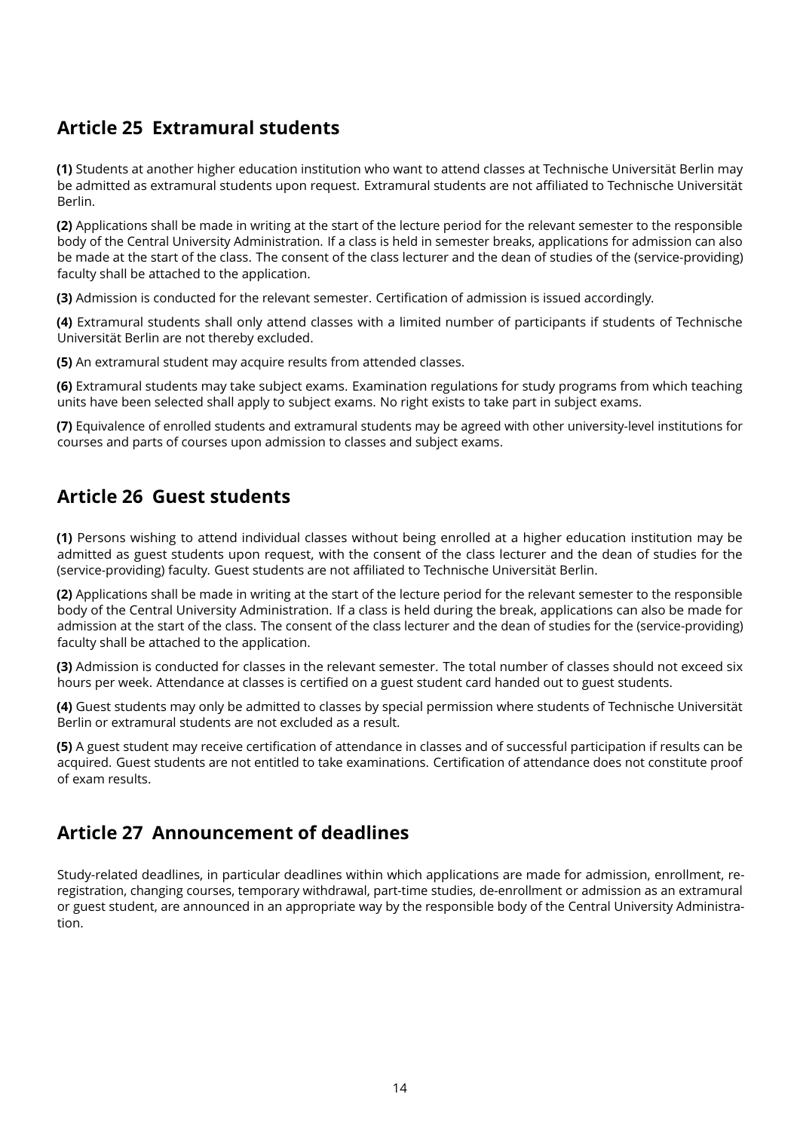# <span id="page-13-0"></span>**Article 25 Extramural students**

**(1)** Students at another higher education institution who want to attend classes at Technische Universität Berlin may be admitted as extramural students upon request. Extramural students are not affiliated to Technische Universität Berlin.

**(2)** Applications shall be made in writing at the start of the lecture period for the relevant semester to the responsible body of the Central University Administration. If a class is held in semester breaks, applications for admission can also be made at the start of the class. The consent of the class lecturer and the dean of studies of the (service-providing) faculty shall be attached to the application.

**(3)** Admission is conducted for the relevant semester. Certification of admission is issued accordingly.

**(4)** Extramural students shall only attend classes with a limited number of participants if students of Technische Universität Berlin are not thereby excluded.

**(5)** An extramural student may acquire results from attended classes.

**(6)** Extramural students may take subject exams. Examination regulations for study programs from which teaching units have been selected shall apply to subject exams. No right exists to take part in subject exams.

**(7)** Equivalence of enrolled students and extramural students may be agreed with other university-level institutions for courses and parts of courses upon admission to classes and subject exams.

#### <span id="page-13-1"></span>**Article 26 Guest students**

**(1)** Persons wishing to attend individual classes without being enrolled at a higher education institution may be admitted as guest students upon request, with the consent of the class lecturer and the dean of studies for the (service-providing) faculty. Guest students are not affiliated to Technische Universität Berlin.

**(2)** Applications shall be made in writing at the start of the lecture period for the relevant semester to the responsible body of the Central University Administration. If a class is held during the break, applications can also be made for admission at the start of the class. The consent of the class lecturer and the dean of studies for the (service-providing) faculty shall be attached to the application.

**(3)** Admission is conducted for classes in the relevant semester. The total number of classes should not exceed six hours per week. Attendance at classes is certified on a guest student card handed out to guest students.

**(4)** Guest students may only be admitted to classes by special permission where students of Technische Universität Berlin or extramural students are not excluded as a result.

**(5)** A guest student may receive certification of attendance in classes and of successful participation if results can be acquired. Guest students are not entitled to take examinations. Certification of attendance does not constitute proof of exam results.

#### <span id="page-13-2"></span>**Article 27 Announcement of deadlines**

Study-related deadlines, in particular deadlines within which applications are made for admission, enrollment, reregistration, changing courses, temporary withdrawal, part-time studies, de-enrollment or admission as an extramural or guest student, are announced in an appropriate way by the responsible body of the Central University Administration.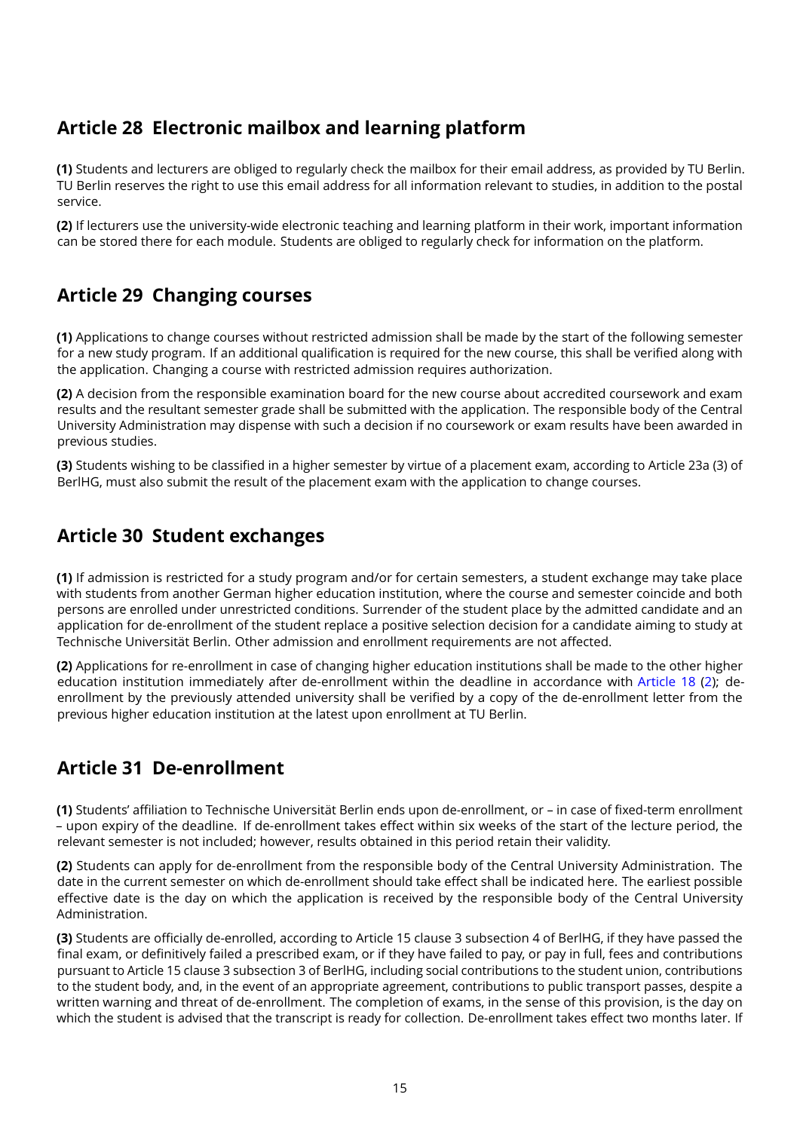# <span id="page-14-0"></span>**Article 28 Electronic mailbox and learning platform**

**(1)** Students and lecturers are obliged to regularly check the mailbox for their email address, as provided by TU Berlin. TU Berlin reserves the right to use this email address for all information relevant to studies, in addition to the postal service.

**(2)** If lecturers use the university-wide electronic teaching and learning platform in their work, important information can be stored there for each module. Students are obliged to regularly check for information on the platform.

### <span id="page-14-1"></span>**Article 29 Changing courses**

**(1)** Applications to change courses without restricted admission shall be made by the start of the following semester for a new study program. If an additional qualification is required for the new course, this shall be verified along with the application. Changing a course with restricted admission requires authorization.

**(2)** A decision from the responsible examination board for the new course about accredited coursework and exam results and the resultant semester grade shall be submitted with the application. The responsible body of the Central University Administration may dispense with such a decision if no coursework or exam results have been awarded in previous studies.

**(3)** Students wishing to be classified in a higher semester by virtue of a placement exam, according to Article 23a (3) of BerlHG, must also submit the result of the placement exam with the application to change courses.

#### <span id="page-14-2"></span>**Article 30 Student exchanges**

**(1)** If admission is restricted for a study program and/or for certain semesters, a student exchange may take place with students from another German higher education institution, where the course and semester coincide and both persons are enrolled under unrestricted conditions. Surrender of the student place by the admitted candidate and an application for de-enrollment of the student replace a positive selection decision for a candidate aiming to study at Technische Universität Berlin. Other admission and enrollment requirements are not affected.

**(2)** Applications for re-enrollment in case of changing higher education institutions shall be made to the other higher education institution immediately after de-enrollment within the deadline in accordance with [Article 18](#page-8-1) [\(2\)](#page-8-3); deenrollment by the previously attended university shall be verified by a copy of the de-enrollment letter from the previous higher education institution at the latest upon enrollment at TU Berlin.

### <span id="page-14-3"></span>**Article 31 De-enrollment**

**(1)** Students' affiliation to Technische Universität Berlin ends upon de-enrollment, or – in case of fixed-term enrollment – upon expiry of the deadline. If de-enrollment takes effect within six weeks of the start of the lecture period, the relevant semester is not included; however, results obtained in this period retain their validity.

**(2)** Students can apply for de-enrollment from the responsible body of the Central University Administration. The date in the current semester on which de-enrollment should take effect shall be indicated here. The earliest possible effective date is the day on which the application is received by the responsible body of the Central University Administration.

**(3)** Students are officially de-enrolled, according to Article 15 clause 3 subsection 4 of BerlHG, if they have passed the final exam, or definitively failed a prescribed exam, or if they have failed to pay, or pay in full, fees and contributions pursuant to Article 15 clause 3 subsection 3 of BerlHG, including social contributions to the student union, contributions to the student body, and, in the event of an appropriate agreement, contributions to public transport passes, despite a written warning and threat of de-enrollment. The completion of exams, in the sense of this provision, is the day on which the student is advised that the transcript is ready for collection. De-enrollment takes effect two months later. If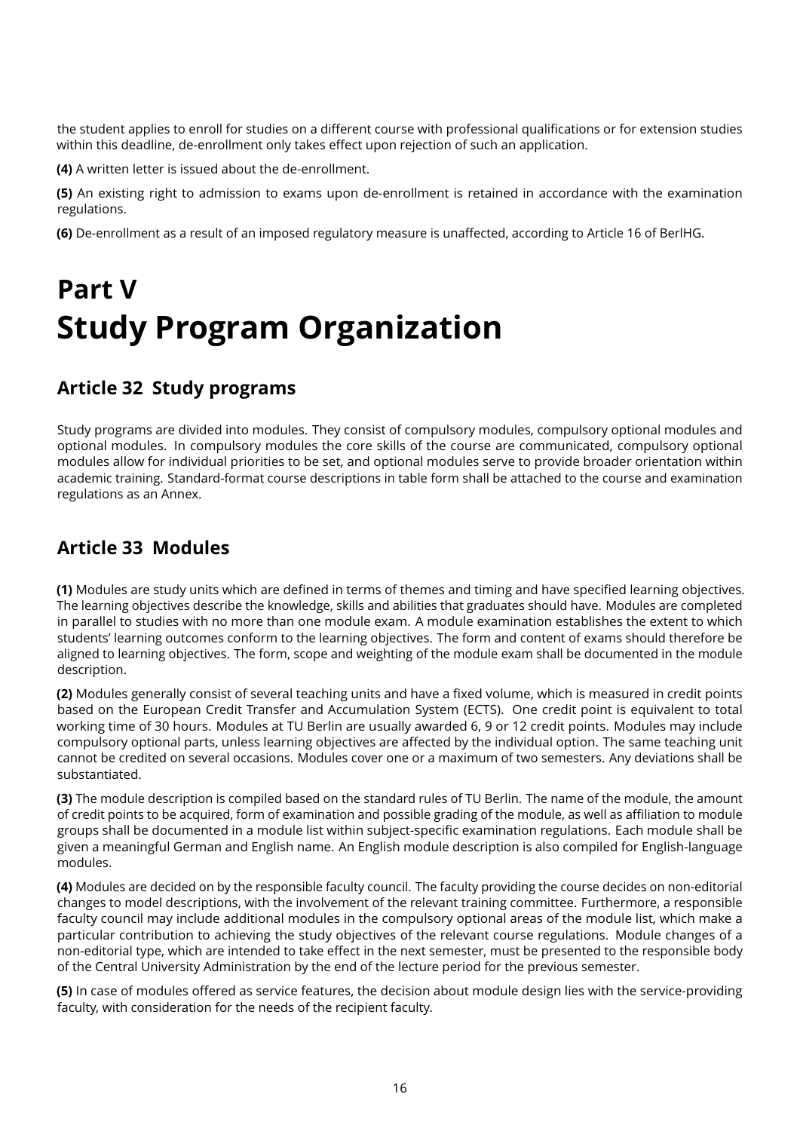the student applies to enroll for studies on a different course with professional qualifications or for extension studies within this deadline, de-enrollment only takes effect upon rejection of such an application.

**(4)** A written letter is issued about the de-enrollment.

**(5)** An existing right to admission to exams upon de-enrollment is retained in accordance with the examination regulations.

**(6)** De-enrollment as a result of an imposed regulatory measure is unaffected, according to Article 16 of BerlHG.

# <span id="page-15-0"></span>**Part V Study Program Organization**

#### <span id="page-15-1"></span>**Article 32 Study programs**

Study programs are divided into modules. They consist of compulsory modules, compulsory optional modules and optional modules. In compulsory modules the core skills of the course are communicated, compulsory optional modules allow for individual priorities to be set, and optional modules serve to provide broader orientation within academic training. Standard-format course descriptions in table form shall be attached to the course and examination regulations as an Annex.

### <span id="page-15-2"></span>**Article 33 Modules**

**(1)** Modules are study units which are defined in terms of themes and timing and have specified learning objectives. The learning objectives describe the knowledge, skills and abilities that graduates should have. Modules are completed in parallel to studies with no more than one module exam. A module examination establishes the extent to which students' learning outcomes conform to the learning objectives. The form and content of exams should therefore be aligned to learning objectives. The form, scope and weighting of the module exam shall be documented in the module description.

**(2)** Modules generally consist of several teaching units and have a fixed volume, which is measured in credit points based on the European Credit Transfer and Accumulation System (ECTS). One credit point is equivalent to total working time of 30 hours. Modules at TU Berlin are usually awarded 6, 9 or 12 credit points. Modules may include compulsory optional parts, unless learning objectives are affected by the individual option. The same teaching unit cannot be credited on several occasions. Modules cover one or a maximum of two semesters. Any deviations shall be substantiated.

**(3)** The module description is compiled based on the standard rules of TU Berlin. The name of the module, the amount of credit points to be acquired, form of examination and possible grading of the module, as well as affiliation to module groups shall be documented in a module list within subject-specific examination regulations. Each module shall be given a meaningful German and English name. An English module description is also compiled for English-language modules.

**(4)** Modules are decided on by the responsible faculty council. The faculty providing the course decides on non-editorial changes to model descriptions, with the involvement of the relevant training committee. Furthermore, a responsible faculty council may include additional modules in the compulsory optional areas of the module list, which make a particular contribution to achieving the study objectives of the relevant course regulations. Module changes of a non-editorial type, which are intended to take effect in the next semester, must be presented to the responsible body of the Central University Administration by the end of the lecture period for the previous semester.

**(5)** In case of modules offered as service features, the decision about module design lies with the service-providing faculty, with consideration for the needs of the recipient faculty.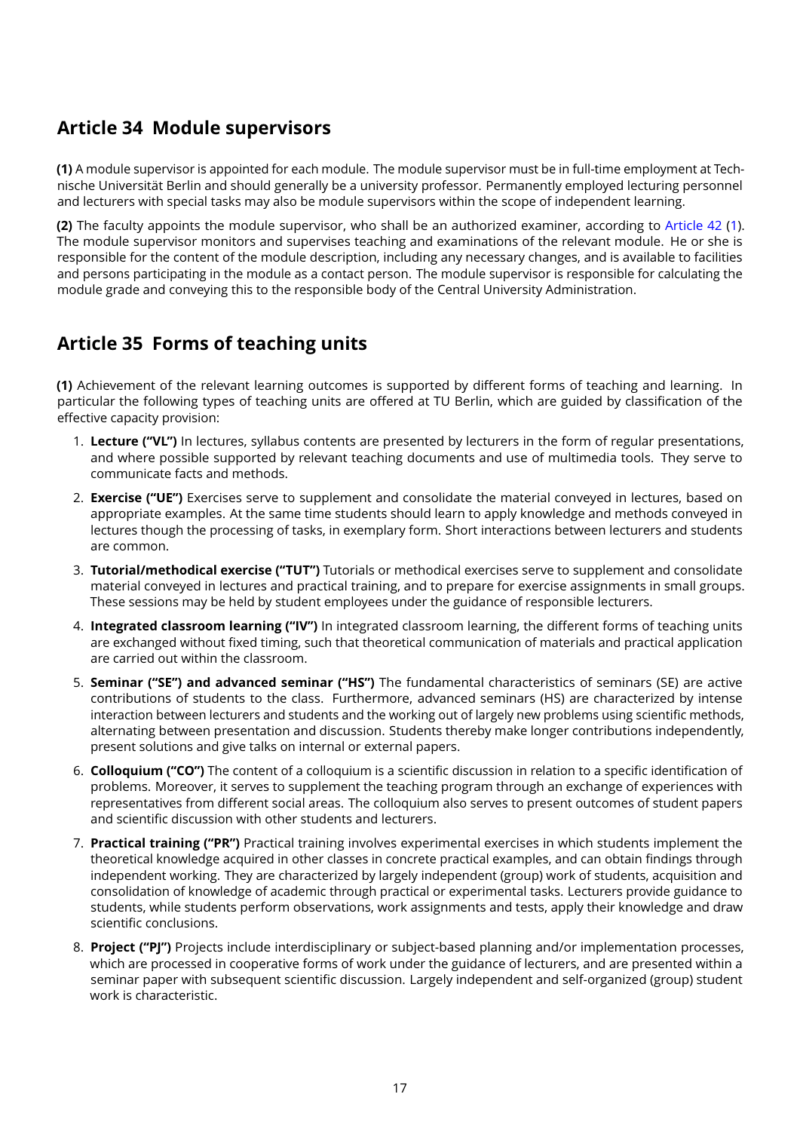### <span id="page-16-0"></span>**Article 34 Module supervisors**

**(1)** A module supervisor is appointed for each module. The module supervisor must be in full-time employment at Technische Universität Berlin and should generally be a university professor. Permanently employed lecturing personnel and lecturers with special tasks may also be module supervisors within the scope of independent learning.

**(2)** The faculty appoints the module supervisor, who shall be an authorized examiner, according to [Article 42](#page-21-0) [\(1\)](#page-21-3). The module supervisor monitors and supervises teaching and examinations of the relevant module. He or she is responsible for the content of the module description, including any necessary changes, and is available to facilities and persons participating in the module as a contact person. The module supervisor is responsible for calculating the module grade and conveying this to the responsible body of the Central University Administration.

#### <span id="page-16-1"></span>**Article 35 Forms of teaching units**

**(1)** Achievement of the relevant learning outcomes is supported by different forms of teaching and learning. In particular the following types of teaching units are offered at TU Berlin, which are guided by classification of the effective capacity provision:

- 1. **Lecture ("VL")** In lectures, syllabus contents are presented by lecturers in the form of regular presentations, and where possible supported by relevant teaching documents and use of multimedia tools. They serve to communicate facts and methods.
- 2. **Exercise ("UE")** Exercises serve to supplement and consolidate the material conveyed in lectures, based on appropriate examples. At the same time students should learn to apply knowledge and methods conveyed in lectures though the processing of tasks, in exemplary form. Short interactions between lecturers and students are common.
- 3. **Tutorial/methodical exercise ("TUT")** Tutorials or methodical exercises serve to supplement and consolidate material conveyed in lectures and practical training, and to prepare for exercise assignments in small groups. These sessions may be held by student employees under the guidance of responsible lecturers.
- 4. **Integrated classroom learning ("IV")** In integrated classroom learning, the different forms of teaching units are exchanged without fixed timing, such that theoretical communication of materials and practical application are carried out within the classroom.
- 5. **Seminar ("SE") and advanced seminar ("HS")** The fundamental characteristics of seminars (SE) are active contributions of students to the class. Furthermore, advanced seminars (HS) are characterized by intense interaction between lecturers and students and the working out of largely new problems using scientific methods, alternating between presentation and discussion. Students thereby make longer contributions independently, present solutions and give talks on internal or external papers.
- 6. **Colloquium ("CO")** The content of a colloquium is a scientific discussion in relation to a specific identification of problems. Moreover, it serves to supplement the teaching program through an exchange of experiences with representatives from different social areas. The colloquium also serves to present outcomes of student papers and scientific discussion with other students and lecturers.
- 7. **Practical training ("PR")** Practical training involves experimental exercises in which students implement the theoretical knowledge acquired in other classes in concrete practical examples, and can obtain findings through independent working. They are characterized by largely independent (group) work of students, acquisition and consolidation of knowledge of academic through practical or experimental tasks. Lecturers provide guidance to students, while students perform observations, work assignments and tests, apply their knowledge and draw scientific conclusions.
- 8. **Project ("PJ")** Projects include interdisciplinary or subject-based planning and/or implementation processes, which are processed in cooperative forms of work under the guidance of lecturers, and are presented within a seminar paper with subsequent scientific discussion. Largely independent and self-organized (group) student work is characteristic.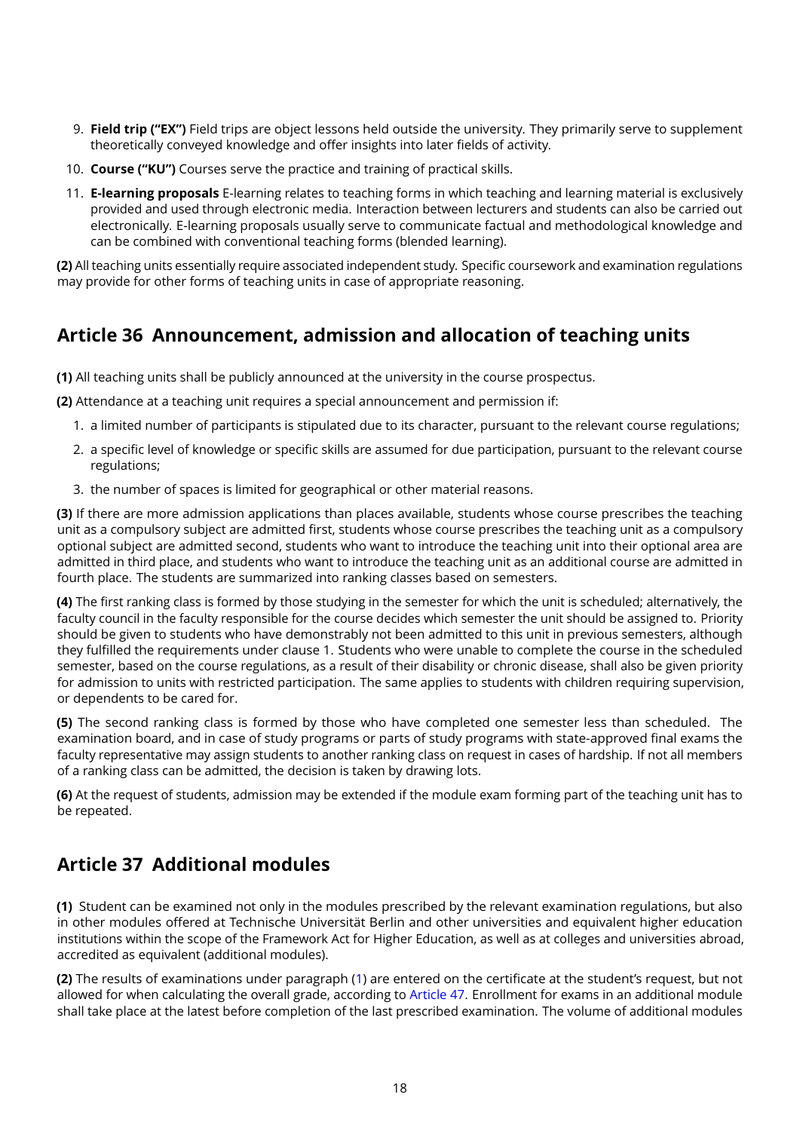- 9. **Field trip ("EX")** Field trips are object lessons held outside the university. They primarily serve to supplement theoretically conveyed knowledge and offer insights into later fields of activity.
- 10. **Course ("KU")** Courses serve the practice and training of practical skills.
- 11. **E-learning proposals** E-learning relates to teaching forms in which teaching and learning material is exclusively provided and used through electronic media. Interaction between lecturers and students can also be carried out electronically. E-learning proposals usually serve to communicate factual and methodological knowledge and can be combined with conventional teaching forms (blended learning).

**(2)** All teaching units essentially require associated independent study. Specific coursework and examination regulations may provide for other forms of teaching units in case of appropriate reasoning.

#### <span id="page-17-0"></span>**Article 36 Announcement, admission and allocation of teaching units**

**(1)** All teaching units shall be publicly announced at the university in the course prospectus.

**(2)** Attendance at a teaching unit requires a special announcement and permission if:

- 1. a limited number of participants is stipulated due to its character, pursuant to the relevant course regulations;
- 2. a specific level of knowledge or specific skills are assumed for due participation, pursuant to the relevant course regulations;
- 3. the number of spaces is limited for geographical or other material reasons.

**(3)** If there are more admission applications than places available, students whose course prescribes the teaching unit as a compulsory subject are admitted first, students whose course prescribes the teaching unit as a compulsory optional subject are admitted second, students who want to introduce the teaching unit into their optional area are admitted in third place, and students who want to introduce the teaching unit as an additional course are admitted in fourth place. The students are summarized into ranking classes based on semesters.

**(4)** The first ranking class is formed by those studying in the semester for which the unit is scheduled; alternatively, the faculty council in the faculty responsible for the course decides which semester the unit should be assigned to. Priority should be given to students who have demonstrably not been admitted to this unit in previous semesters, although they fulfilled the requirements under clause 1. Students who were unable to complete the course in the scheduled semester, based on the course regulations, as a result of their disability or chronic disease, shall also be given priority for admission to units with restricted participation. The same applies to students with children requiring supervision, or dependents to be cared for.

**(5)** The second ranking class is formed by those who have completed one semester less than scheduled. The examination board, and in case of study programs or parts of study programs with state-approved final exams the faculty representative may assign students to another ranking class on request in cases of hardship. If not all members of a ranking class can be admitted, the decision is taken by drawing lots.

**(6)** At the request of students, admission may be extended if the module exam forming part of the teaching unit has to be repeated.

### <span id="page-17-1"></span>**Article 37 Additional modules**

<span id="page-17-2"></span>**(1)** Student can be examined not only in the modules prescribed by the relevant examination regulations, but also in other modules offered at Technische Universität Berlin and other universities and equivalent higher education institutions within the scope of the Framework Act for Higher Education, as well as at colleges and universities abroad, accredited as equivalent (additional modules).

**(2)** The results of examinations under paragraph [\(1\)](#page-17-2) are entered on the certificate at the student's request, but not allowed for when calculating the overall grade, according to [Article 47.](#page-23-0) Enrollment for exams in an additional module shall take place at the latest before completion of the last prescribed examination. The volume of additional modules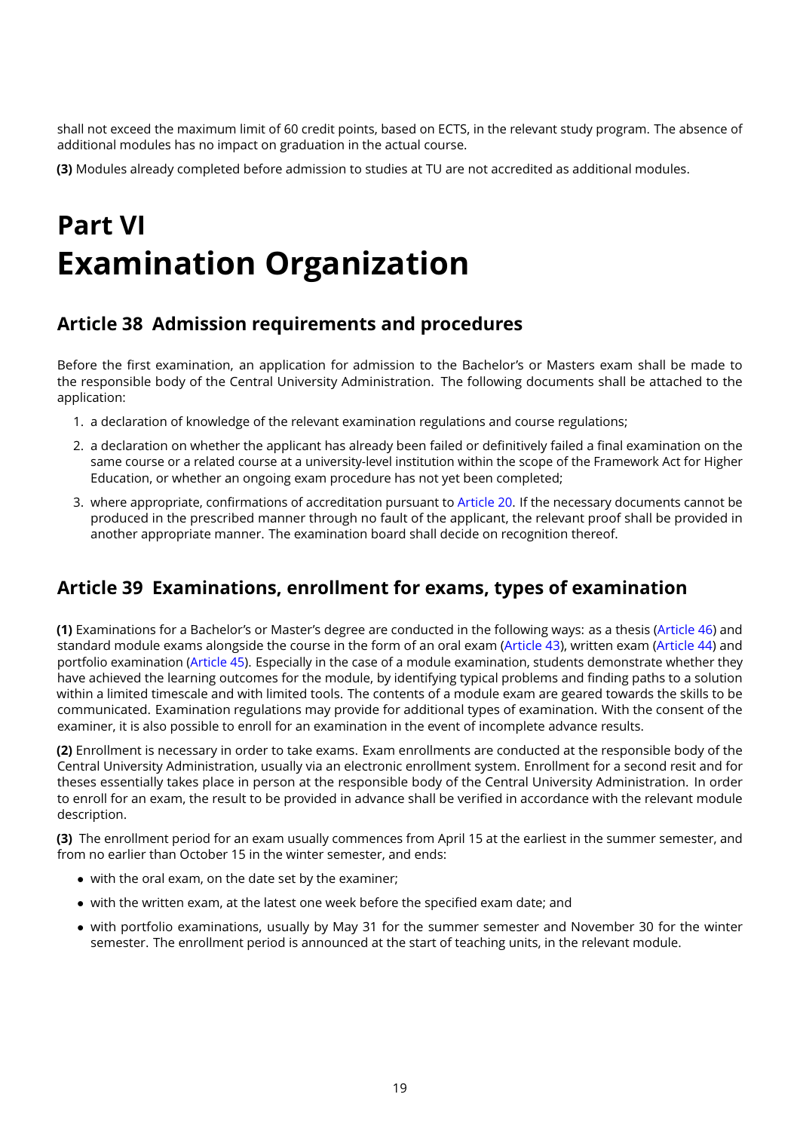shall not exceed the maximum limit of 60 credit points, based on ECTS, in the relevant study program. The absence of additional modules has no impact on graduation in the actual course.

**(3)** Modules already completed before admission to studies at TU are not accredited as additional modules.

# <span id="page-18-0"></span>**Part VI Examination Organization**

#### <span id="page-18-1"></span>**Article 38 Admission requirements and procedures**

Before the first examination, an application for admission to the Bachelor's or Masters exam shall be made to the responsible body of the Central University Administration. The following documents shall be attached to the application:

- 1. a declaration of knowledge of the relevant examination regulations and course regulations;
- 2. a declaration on whether the applicant has already been failed or definitively failed a final examination on the same course or a related course at a university-level institution within the scope of the Framework Act for Higher Education, or whether an ongoing exam procedure has not yet been completed;
- 3. where appropriate, confirmations of accreditation pursuant to [Article 20.](#page-10-0) If the necessary documents cannot be produced in the prescribed manner through no fault of the applicant, the relevant proof shall be provided in another appropriate manner. The examination board shall decide on recognition thereof.

#### <span id="page-18-2"></span>**Article 39 Examinations, enrollment for exams, types of examination**

**(1)** Examinations for a Bachelor's or Master's degree are conducted in the following ways: as a thesis [\(Article 46\)](#page-22-1) and standard module exams alongside the course in the form of an oral exam [\(Article 43\)](#page-21-1), written exam [\(Article 44\)](#page-21-2) and portfolio examination [\(Article 45\)](#page-22-0). Especially in the case of a module examination, students demonstrate whether they have achieved the learning outcomes for the module, by identifying typical problems and finding paths to a solution within a limited timescale and with limited tools. The contents of a module exam are geared towards the skills to be communicated. Examination regulations may provide for additional types of examination. With the consent of the examiner, it is also possible to enroll for an examination in the event of incomplete advance results.

**(2)** Enrollment is necessary in order to take exams. Exam enrollments are conducted at the responsible body of the Central University Administration, usually via an electronic enrollment system. Enrollment for a second resit and for theses essentially takes place in person at the responsible body of the Central University Administration. In order to enroll for an exam, the result to be provided in advance shall be verified in accordance with the relevant module description.

<span id="page-18-3"></span>**(3)** The enrollment period for an exam usually commences from April 15 at the earliest in the summer semester, and from no earlier than October 15 in the winter semester, and ends:

- with the oral exam, on the date set by the examiner;
- with the written exam, at the latest one week before the specified exam date; and
- with portfolio examinations, usually by May 31 for the summer semester and November 30 for the winter semester. The enrollment period is announced at the start of teaching units, in the relevant module.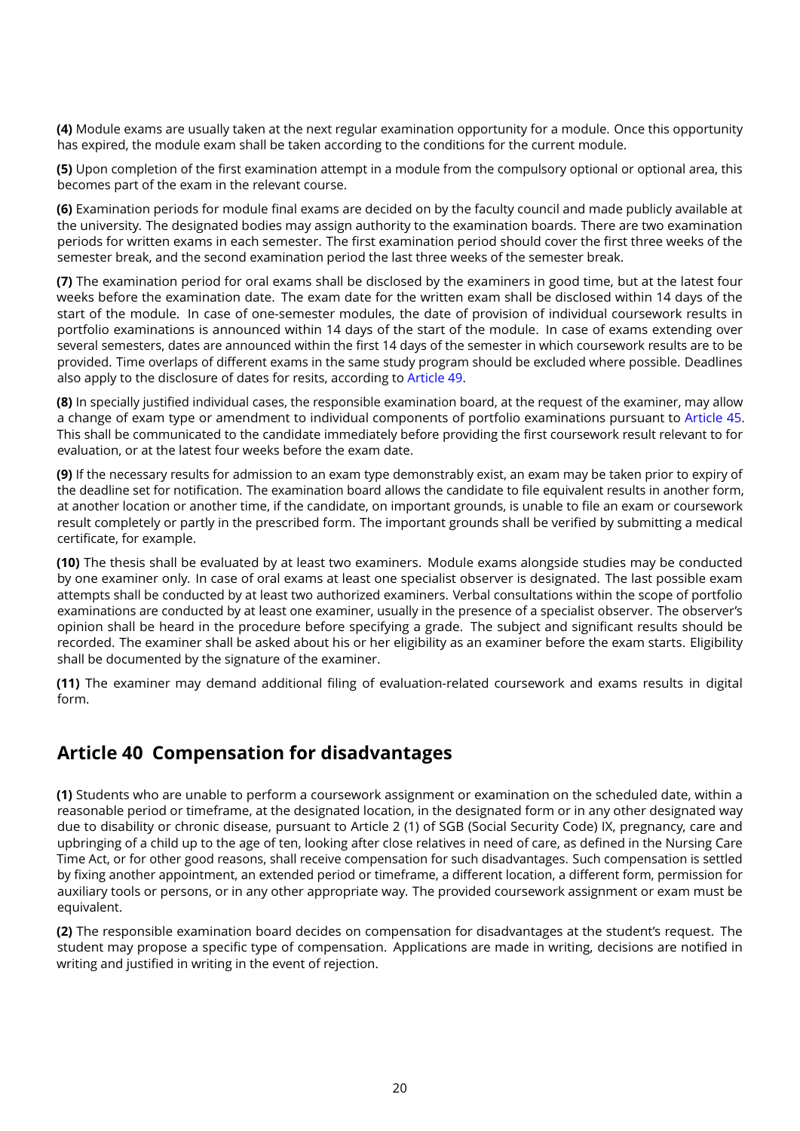**(4)** Module exams are usually taken at the next regular examination opportunity for a module. Once this opportunity has expired, the module exam shall be taken according to the conditions for the current module.

**(5)** Upon completion of the first examination attempt in a module from the compulsory optional or optional area, this becomes part of the exam in the relevant course.

**(6)** Examination periods for module final exams are decided on by the faculty council and made publicly available at the university. The designated bodies may assign authority to the examination boards. There are two examination periods for written exams in each semester. The first examination period should cover the first three weeks of the semester break, and the second examination period the last three weeks of the semester break.

**(7)** The examination period for oral exams shall be disclosed by the examiners in good time, but at the latest four weeks before the examination date. The exam date for the written exam shall be disclosed within 14 days of the start of the module. In case of one-semester modules, the date of provision of individual coursework results in portfolio examinations is announced within 14 days of the start of the module. In case of exams extending over several semesters, dates are announced within the first 14 days of the semester in which coursework results are to be provided. Time overlaps of different exams in the same study program should be excluded where possible. Deadlines also apply to the disclosure of dates for resits, according to [Article 49.](#page-25-0)

**(8)** In specially justified individual cases, the responsible examination board, at the request of the examiner, may allow a change of exam type or amendment to individual components of portfolio examinations pursuant to [Article 45.](#page-22-0) This shall be communicated to the candidate immediately before providing the first coursework result relevant to for evaluation, or at the latest four weeks before the exam date.

**(9)** If the necessary results for admission to an exam type demonstrably exist, an exam may be taken prior to expiry of the deadline set for notification. The examination board allows the candidate to file equivalent results in another form, at another location or another time, if the candidate, on important grounds, is unable to file an exam or coursework result completely or partly in the prescribed form. The important grounds shall be verified by submitting a medical certificate, for example.

**(10)** The thesis shall be evaluated by at least two examiners. Module exams alongside studies may be conducted by one examiner only. In case of oral exams at least one specialist observer is designated. The last possible exam attempts shall be conducted by at least two authorized examiners. Verbal consultations within the scope of portfolio examinations are conducted by at least one examiner, usually in the presence of a specialist observer. The observer's opinion shall be heard in the procedure before specifying a grade. The subject and significant results should be recorded. The examiner shall be asked about his or her eligibility as an examiner before the exam starts. Eligibility shall be documented by the signature of the examiner.

**(11)** The examiner may demand additional filing of evaluation-related coursework and exams results in digital form.

### <span id="page-19-0"></span>**Article 40 Compensation for disadvantages**

**(1)** Students who are unable to perform a coursework assignment or examination on the scheduled date, within a reasonable period or timeframe, at the designated location, in the designated form or in any other designated way due to disability or chronic disease, pursuant to Article 2 (1) of SGB (Social Security Code) IX, pregnancy, care and upbringing of a child up to the age of ten, looking after close relatives in need of care, as defined in the Nursing Care Time Act, or for other good reasons, shall receive compensation for such disadvantages. Such compensation is settled by fixing another appointment, an extended period or timeframe, a different location, a different form, permission for auxiliary tools or persons, or in any other appropriate way. The provided coursework assignment or exam must be equivalent.

**(2)** The responsible examination board decides on compensation for disadvantages at the student's request. The student may propose a specific type of compensation. Applications are made in writing, decisions are notified in writing and justified in writing in the event of rejection.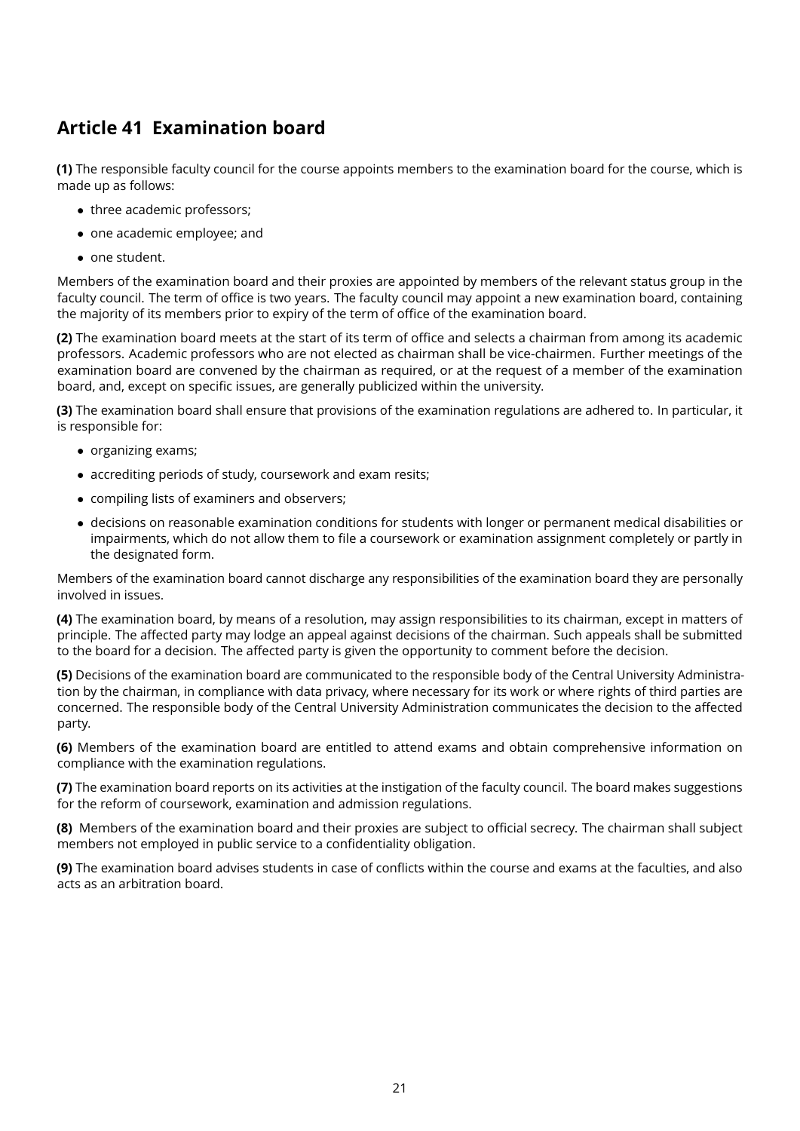# <span id="page-20-0"></span>**Article 41 Examination board**

**(1)** The responsible faculty council for the course appoints members to the examination board for the course, which is made up as follows:

- three academic professors;
- one academic employee; and
- one student.

Members of the examination board and their proxies are appointed by members of the relevant status group in the faculty council. The term of office is two years. The faculty council may appoint a new examination board, containing the majority of its members prior to expiry of the term of office of the examination board.

**(2)** The examination board meets at the start of its term of office and selects a chairman from among its academic professors. Academic professors who are not elected as chairman shall be vice-chairmen. Further meetings of the examination board are convened by the chairman as required, or at the request of a member of the examination board, and, except on specific issues, are generally publicized within the university.

**(3)** The examination board shall ensure that provisions of the examination regulations are adhered to. In particular, it is responsible for:

- organizing exams;
- accrediting periods of study, coursework and exam resits;
- compiling lists of examiners and observers;
- decisions on reasonable examination conditions for students with longer or permanent medical disabilities or impairments, which do not allow them to file a coursework or examination assignment completely or partly in the designated form.

Members of the examination board cannot discharge any responsibilities of the examination board they are personally involved in issues.

**(4)** The examination board, by means of a resolution, may assign responsibilities to its chairman, except in matters of principle. The affected party may lodge an appeal against decisions of the chairman. Such appeals shall be submitted to the board for a decision. The affected party is given the opportunity to comment before the decision.

**(5)** Decisions of the examination board are communicated to the responsible body of the Central University Administration by the chairman, in compliance with data privacy, where necessary for its work or where rights of third parties are concerned. The responsible body of the Central University Administration communicates the decision to the affected party.

**(6)** Members of the examination board are entitled to attend exams and obtain comprehensive information on compliance with the examination regulations.

**(7)** The examination board reports on its activities at the instigation of the faculty council. The board makes suggestions for the reform of coursework, examination and admission regulations.

<span id="page-20-1"></span>**(8)** Members of the examination board and their proxies are subject to official secrecy. The chairman shall subject members not employed in public service to a confidentiality obligation.

**(9)** The examination board advises students in case of conflicts within the course and exams at the faculties, and also acts as an arbitration board.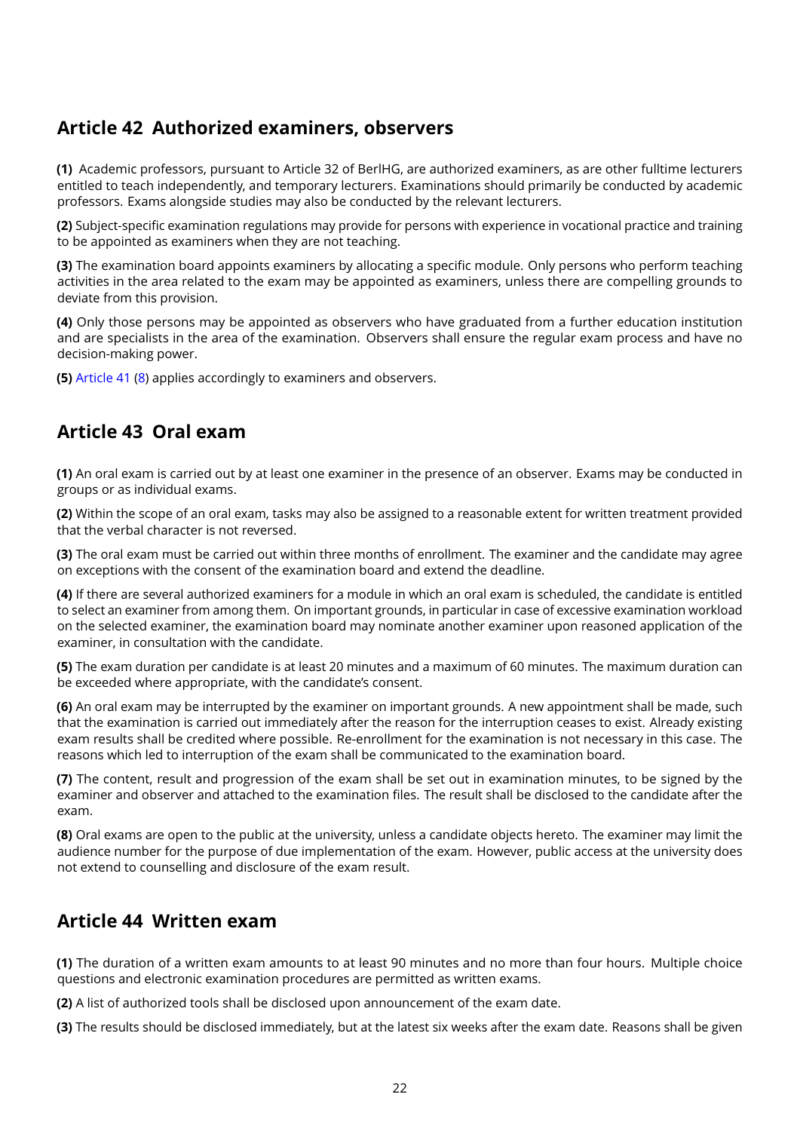#### <span id="page-21-0"></span>**Article 42 Authorized examiners, observers**

<span id="page-21-3"></span>**(1)** Academic professors, pursuant to Article 32 of BerlHG, are authorized examiners, as are other fulltime lecturers entitled to teach independently, and temporary lecturers. Examinations should primarily be conducted by academic professors. Exams alongside studies may also be conducted by the relevant lecturers.

**(2)** Subject-specific examination regulations may provide for persons with experience in vocational practice and training to be appointed as examiners when they are not teaching.

**(3)** The examination board appoints examiners by allocating a specific module. Only persons who perform teaching activities in the area related to the exam may be appointed as examiners, unless there are compelling grounds to deviate from this provision.

**(4)** Only those persons may be appointed as observers who have graduated from a further education institution and are specialists in the area of the examination. Observers shall ensure the regular exam process and have no decision-making power.

**(5)** [Article 41](#page-20-0) [\(8\)](#page-20-1) applies accordingly to examiners and observers.

#### <span id="page-21-1"></span>**Article 43 Oral exam**

**(1)** An oral exam is carried out by at least one examiner in the presence of an observer. Exams may be conducted in groups or as individual exams.

**(2)** Within the scope of an oral exam, tasks may also be assigned to a reasonable extent for written treatment provided that the verbal character is not reversed.

**(3)** The oral exam must be carried out within three months of enrollment. The examiner and the candidate may agree on exceptions with the consent of the examination board and extend the deadline.

**(4)** If there are several authorized examiners for a module in which an oral exam is scheduled, the candidate is entitled to select an examiner from among them. On important grounds, in particular in case of excessive examination workload on the selected examiner, the examination board may nominate another examiner upon reasoned application of the examiner, in consultation with the candidate.

**(5)** The exam duration per candidate is at least 20 minutes and a maximum of 60 minutes. The maximum duration can be exceeded where appropriate, with the candidate's consent.

**(6)** An oral exam may be interrupted by the examiner on important grounds. A new appointment shall be made, such that the examination is carried out immediately after the reason for the interruption ceases to exist. Already existing exam results shall be credited where possible. Re-enrollment for the examination is not necessary in this case. The reasons which led to interruption of the exam shall be communicated to the examination board.

**(7)** The content, result and progression of the exam shall be set out in examination minutes, to be signed by the examiner and observer and attached to the examination files. The result shall be disclosed to the candidate after the exam.

**(8)** Oral exams are open to the public at the university, unless a candidate objects hereto. The examiner may limit the audience number for the purpose of due implementation of the exam. However, public access at the university does not extend to counselling and disclosure of the exam result.

#### <span id="page-21-2"></span>**Article 44 Written exam**

**(1)** The duration of a written exam amounts to at least 90 minutes and no more than four hours. Multiple choice questions and electronic examination procedures are permitted as written exams.

**(2)** A list of authorized tools shall be disclosed upon announcement of the exam date.

**(3)** The results should be disclosed immediately, but at the latest six weeks after the exam date. Reasons shall be given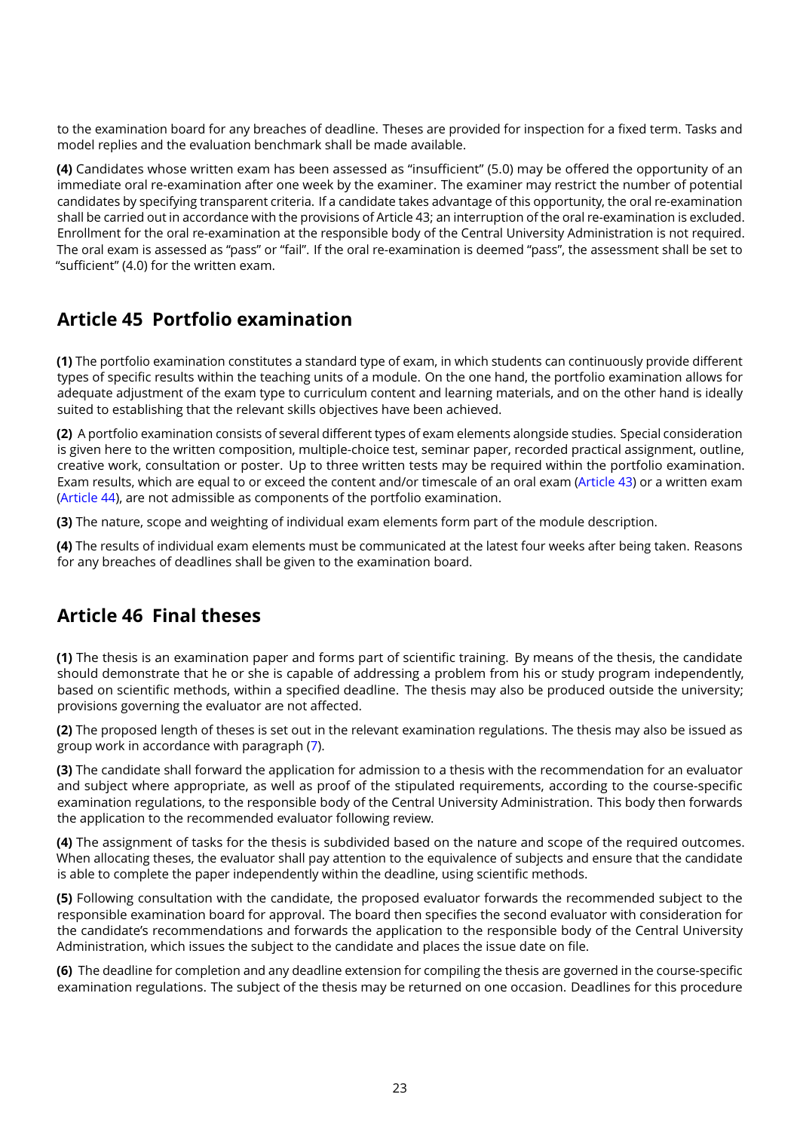to the examination board for any breaches of deadline. Theses are provided for inspection for a fixed term. Tasks and model replies and the evaluation benchmark shall be made available.

**(4)** Candidates whose written exam has been assessed as "insufficient" (5.0) may be offered the opportunity of an immediate oral re-examination after one week by the examiner. The examiner may restrict the number of potential candidates by specifying transparent criteria. If a candidate takes advantage of this opportunity, the oral re-examination shall be carried out in accordance with the provisions of Article 43; an interruption of the oral re-examination is excluded. Enrollment for the oral re-examination at the responsible body of the Central University Administration is not required. The oral exam is assessed as "pass" or "fail". If the oral re-examination is deemed "pass", the assessment shall be set to "sufficient" (4.0) for the written exam.

#### <span id="page-22-0"></span>**Article 45 Portfolio examination**

**(1)** The portfolio examination constitutes a standard type of exam, in which students can continuously provide different types of specific results within the teaching units of a module. On the one hand, the portfolio examination allows for adequate adjustment of the exam type to curriculum content and learning materials, and on the other hand is ideally suited to establishing that the relevant skills objectives have been achieved.

<span id="page-22-3"></span>**(2)** A portfolio examination consists of several different types of exam elements alongside studies. Special consideration is given here to the written composition, multiple-choice test, seminar paper, recorded practical assignment, outline, creative work, consultation or poster. Up to three written tests may be required within the portfolio examination. Exam results, which are equal to or exceed the content and/or timescale of an oral exam [\(Article 43\)](#page-21-1) or a written exam [\(Article 44\)](#page-21-2), are not admissible as components of the portfolio examination.

**(3)** The nature, scope and weighting of individual exam elements form part of the module description.

**(4)** The results of individual exam elements must be communicated at the latest four weeks after being taken. Reasons for any breaches of deadlines shall be given to the examination board.

#### <span id="page-22-1"></span>**Article 46 Final theses**

**(1)** The thesis is an examination paper and forms part of scientific training. By means of the thesis, the candidate should demonstrate that he or she is capable of addressing a problem from his or study program independently, based on scientific methods, within a specified deadline. The thesis may also be produced outside the university; provisions governing the evaluator are not affected.

**(2)** The proposed length of theses is set out in the relevant examination regulations. The thesis may also be issued as group work in accordance with paragraph [\(7\)](#page-23-1).

**(3)** The candidate shall forward the application for admission to a thesis with the recommendation for an evaluator and subject where appropriate, as well as proof of the stipulated requirements, according to the course-specific examination regulations, to the responsible body of the Central University Administration. This body then forwards the application to the recommended evaluator following review.

**(4)** The assignment of tasks for the thesis is subdivided based on the nature and scope of the required outcomes. When allocating theses, the evaluator shall pay attention to the equivalence of subjects and ensure that the candidate is able to complete the paper independently within the deadline, using scientific methods.

**(5)** Following consultation with the candidate, the proposed evaluator forwards the recommended subject to the responsible examination board for approval. The board then specifies the second evaluator with consideration for the candidate's recommendations and forwards the application to the responsible body of the Central University Administration, which issues the subject to the candidate and places the issue date on file.

<span id="page-22-2"></span>**(6)** The deadline for completion and any deadline extension for compiling the thesis are governed in the course-specific examination regulations. The subject of the thesis may be returned on one occasion. Deadlines for this procedure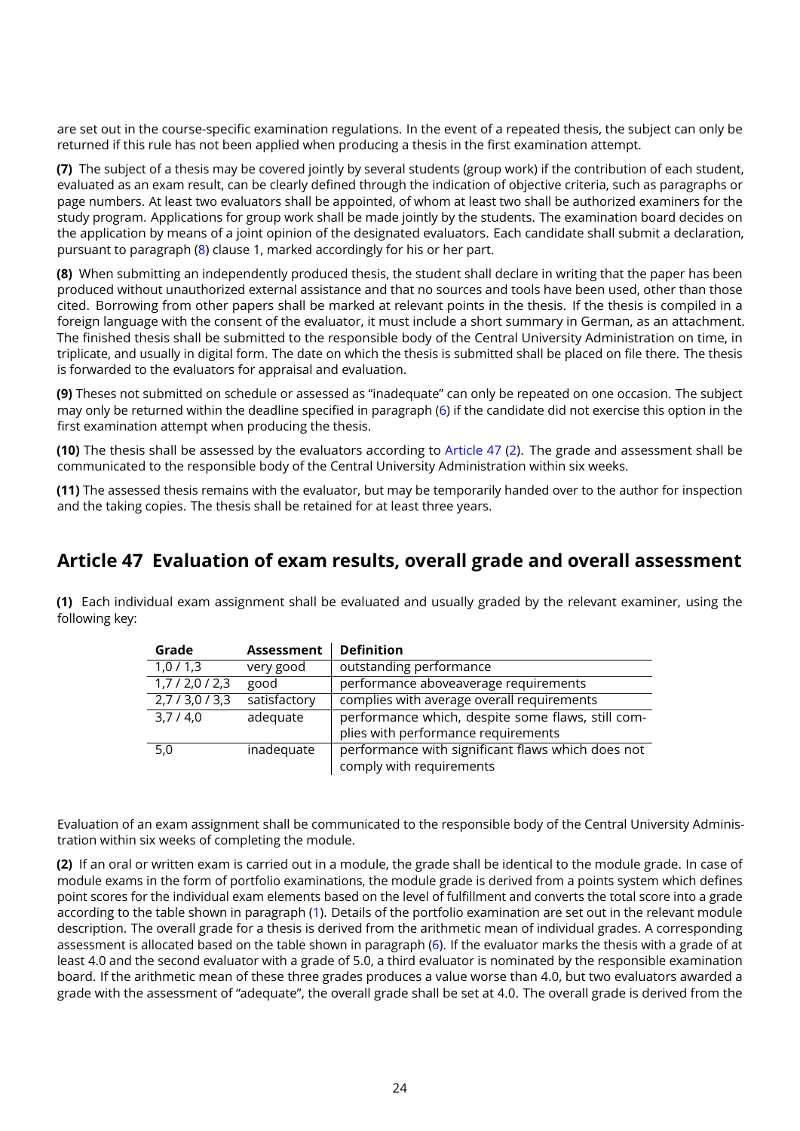are set out in the course-specific examination regulations. In the event of a repeated thesis, the subject can only be returned if this rule has not been applied when producing a thesis in the first examination attempt.

<span id="page-23-1"></span>**(7)** The subject of a thesis may be covered jointly by several students (group work) if the contribution of each student, evaluated as an exam result, can be clearly defined through the indication of objective criteria, such as paragraphs or page numbers. At least two evaluators shall be appointed, of whom at least two shall be authorized examiners for the study program. Applications for group work shall be made jointly by the students. The examination board decides on the application by means of a joint opinion of the designated evaluators. Each candidate shall submit a declaration, pursuant to paragraph [\(8\)](#page-23-2) clause 1, marked accordingly for his or her part.

<span id="page-23-2"></span>**(8)** When submitting an independently produced thesis, the student shall declare in writing that the paper has been produced without unauthorized external assistance and that no sources and tools have been used, other than those cited. Borrowing from other papers shall be marked at relevant points in the thesis. If the thesis is compiled in a foreign language with the consent of the evaluator, it must include a short summary in German, as an attachment. The finished thesis shall be submitted to the responsible body of the Central University Administration on time, in triplicate, and usually in digital form. The date on which the thesis is submitted shall be placed on file there. The thesis is forwarded to the evaluators for appraisal and evaluation.

**(9)** Theses not submitted on schedule or assessed as "inadequate" can only be repeated on one occasion. The subject may only be returned within the deadline specified in paragraph [\(6\)](#page-22-2) if the candidate did not exercise this option in the first examination attempt when producing the thesis.

**(10)** The thesis shall be assessed by the evaluators according to [Article 47](#page-23-0) [\(2\)](#page-23-3). The grade and assessment shall be communicated to the responsible body of the Central University Administration within six weeks.

**(11)** The assessed thesis remains with the evaluator, but may be temporarily handed over to the author for inspection and the taking copies. The thesis shall be retained for at least three years.

#### <span id="page-23-0"></span>**Article 47 Evaluation of exam results, overall grade and overall assessment**

<span id="page-23-4"></span>**(1)** Each individual exam assignment shall be evaluated and usually graded by the relevant examiner, using the following key:

| Grade                    | <b>Assessment</b> | <b>Definition</b>                                 |
|--------------------------|-------------------|---------------------------------------------------|
| 1,0/1,3                  | very good         | outstanding performance                           |
| 1,7/2,0/2,3              | good              | performance aboveaverage requirements             |
| $2,7/3,0/\overline{3,3}$ | satisfactory      | complies with average overall requirements        |
| 3,7/4,0                  | adequate          | performance which, despite some flaws, still com- |
|                          |                   | plies with performance requirements               |
| 5,0                      | inadequate        | performance with significant flaws which does not |
|                          |                   | comply with requirements                          |

Evaluation of an exam assignment shall be communicated to the responsible body of the Central University Administration within six weeks of completing the module.

<span id="page-23-3"></span>**(2)** If an oral or written exam is carried out in a module, the grade shall be identical to the module grade. In case of module exams in the form of portfolio examinations, the module grade is derived from a points system which defines point scores for the individual exam elements based on the level of fulfillment and converts the total score into a grade according to the table shown in paragraph [\(1\)](#page-23-4). Details of the portfolio examination are set out in the relevant module description. The overall grade for a thesis is derived from the arithmetic mean of individual grades. A corresponding assessment is allocated based on the table shown in paragraph [\(6\)](#page-24-1). If the evaluator marks the thesis with a grade of at least 4.0 and the second evaluator with a grade of 5.0, a third evaluator is nominated by the responsible examination board. If the arithmetic mean of these three grades produces a value worse than 4.0, but two evaluators awarded a grade with the assessment of "adequate", the overall grade shall be set at 4.0. The overall grade is derived from the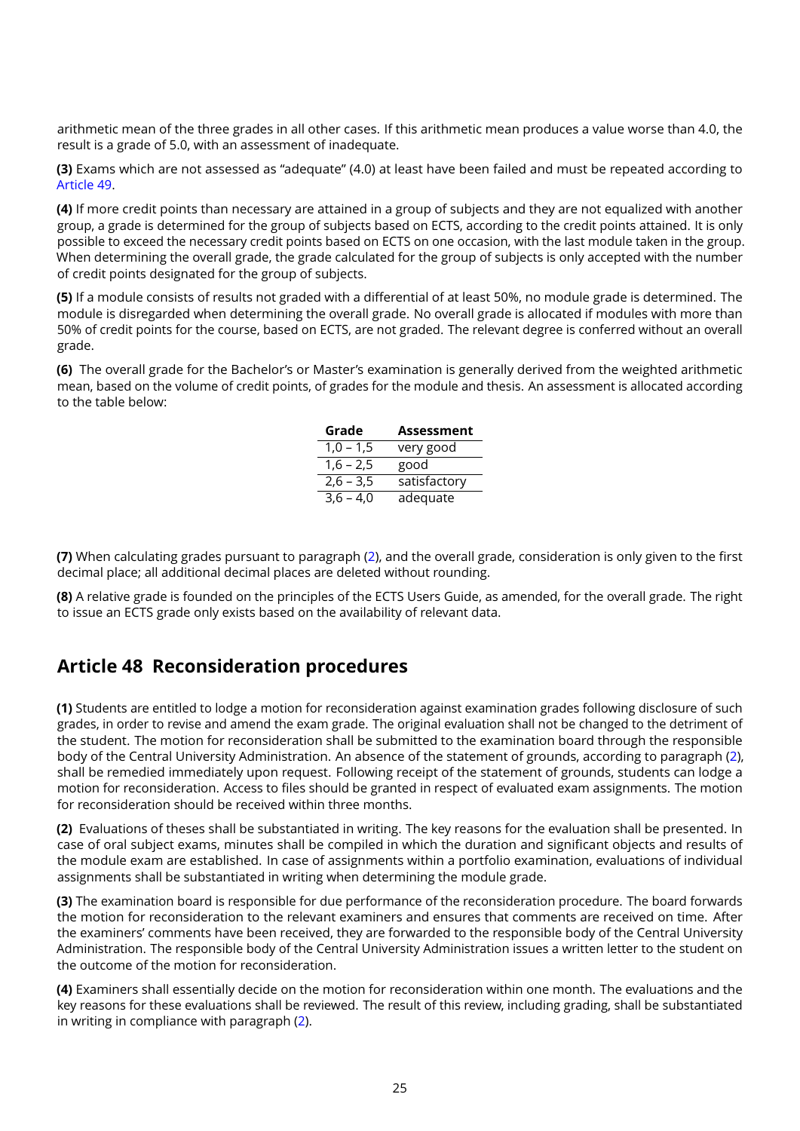arithmetic mean of the three grades in all other cases. If this arithmetic mean produces a value worse than 4.0, the result is a grade of 5.0, with an assessment of inadequate.

**(3)** Exams which are not assessed as "adequate" (4.0) at least have been failed and must be repeated according to [Article 49.](#page-25-0)

**(4)** If more credit points than necessary are attained in a group of subjects and they are not equalized with another group, a grade is determined for the group of subjects based on ECTS, according to the credit points attained. It is only possible to exceed the necessary credit points based on ECTS on one occasion, with the last module taken in the group. When determining the overall grade, the grade calculated for the group of subjects is only accepted with the number of credit points designated for the group of subjects.

**(5)** If a module consists of results not graded with a differential of at least 50%, no module grade is determined. The module is disregarded when determining the overall grade. No overall grade is allocated if modules with more than 50% of credit points for the course, based on ECTS, are not graded. The relevant degree is conferred without an overall grade.

<span id="page-24-1"></span>**(6)** The overall grade for the Bachelor's or Master's examination is generally derived from the weighted arithmetic mean, based on the volume of credit points, of grades for the module and thesis. An assessment is allocated according to the table below:

| Grade       | <b>Assessment</b> |
|-------------|-------------------|
| $1,0 - 1,5$ | very good         |
| $1,6 - 2,5$ | good              |
| $2,6 - 3,5$ | satisfactory      |
| $3,6 - 4,0$ | adequate          |

**(7)** When calculating grades pursuant to paragraph [\(2\)](#page-23-3), and the overall grade, consideration is only given to the first decimal place; all additional decimal places are deleted without rounding.

**(8)** A relative grade is founded on the principles of the ECTS Users Guide, as amended, for the overall grade. The right to issue an ECTS grade only exists based on the availability of relevant data.

#### <span id="page-24-0"></span>**Article 48 Reconsideration procedures**

**(1)** Students are entitled to lodge a motion for reconsideration against examination grades following disclosure of such grades, in order to revise and amend the exam grade. The original evaluation shall not be changed to the detriment of the student. The motion for reconsideration shall be submitted to the examination board through the responsible body of the Central University Administration. An absence of the statement of grounds, according to paragraph [\(2\)](#page-24-2), shall be remedied immediately upon request. Following receipt of the statement of grounds, students can lodge a motion for reconsideration. Access to files should be granted in respect of evaluated exam assignments. The motion for reconsideration should be received within three months.

<span id="page-24-2"></span>**(2)** Evaluations of theses shall be substantiated in writing. The key reasons for the evaluation shall be presented. In case of oral subject exams, minutes shall be compiled in which the duration and significant objects and results of the module exam are established. In case of assignments within a portfolio examination, evaluations of individual assignments shall be substantiated in writing when determining the module grade.

**(3)** The examination board is responsible for due performance of the reconsideration procedure. The board forwards the motion for reconsideration to the relevant examiners and ensures that comments are received on time. After the examiners' comments have been received, they are forwarded to the responsible body of the Central University Administration. The responsible body of the Central University Administration issues a written letter to the student on the outcome of the motion for reconsideration.

**(4)** Examiners shall essentially decide on the motion for reconsideration within one month. The evaluations and the key reasons for these evaluations shall be reviewed. The result of this review, including grading, shall be substantiated in writing in compliance with paragraph [\(2\)](#page-24-2).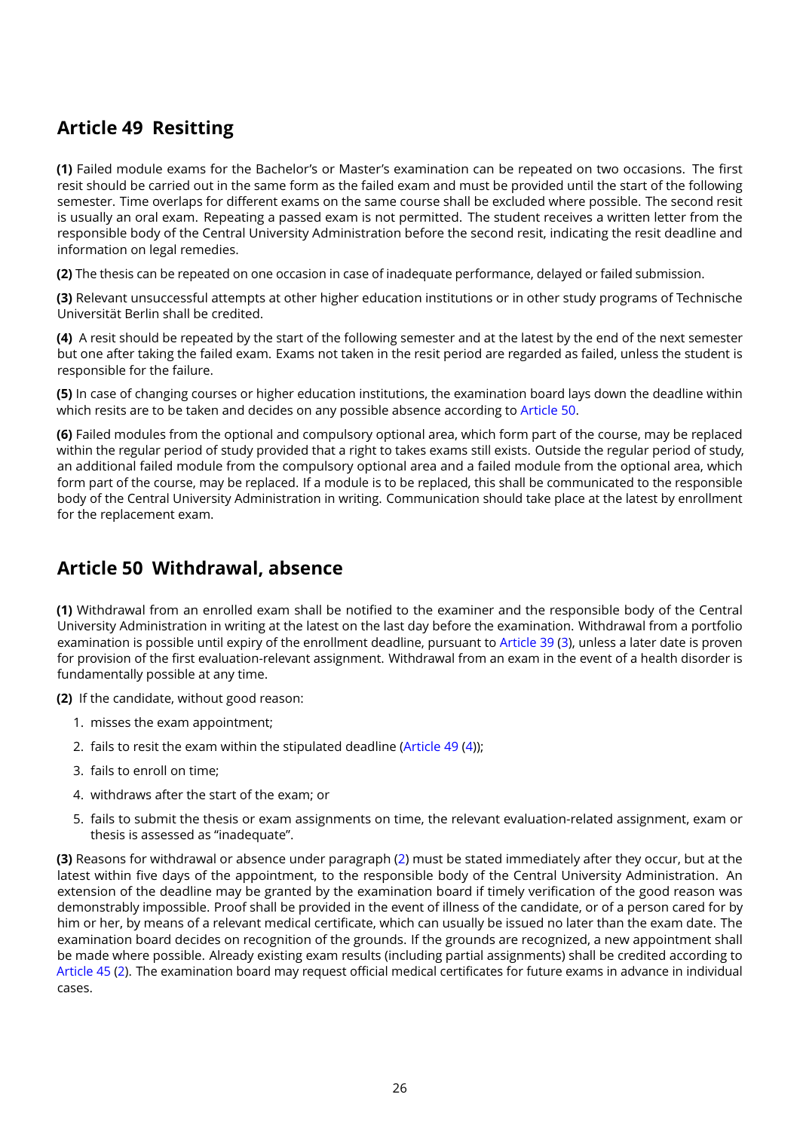# <span id="page-25-0"></span>**Article 49 Resitting**

**(1)** Failed module exams for the Bachelor's or Master's examination can be repeated on two occasions. The first resit should be carried out in the same form as the failed exam and must be provided until the start of the following semester. Time overlaps for different exams on the same course shall be excluded where possible. The second resit is usually an oral exam. Repeating a passed exam is not permitted. The student receives a written letter from the responsible body of the Central University Administration before the second resit, indicating the resit deadline and information on legal remedies.

**(2)** The thesis can be repeated on one occasion in case of inadequate performance, delayed or failed submission.

**(3)** Relevant unsuccessful attempts at other higher education institutions or in other study programs of Technische Universität Berlin shall be credited.

<span id="page-25-2"></span>**(4)** A resit should be repeated by the start of the following semester and at the latest by the end of the next semester but one after taking the failed exam. Exams not taken in the resit period are regarded as failed, unless the student is responsible for the failure.

**(5)** In case of changing courses or higher education institutions, the examination board lays down the deadline within which resits are to be taken and decides on any possible absence according to [Article 50.](#page-25-1)

**(6)** Failed modules from the optional and compulsory optional area, which form part of the course, may be replaced within the regular period of study provided that a right to takes exams still exists. Outside the regular period of study, an additional failed module from the compulsory optional area and a failed module from the optional area, which form part of the course, may be replaced. If a module is to be replaced, this shall be communicated to the responsible body of the Central University Administration in writing. Communication should take place at the latest by enrollment for the replacement exam.

### <span id="page-25-1"></span>**Article 50 Withdrawal, absence**

**(1)** Withdrawal from an enrolled exam shall be notified to the examiner and the responsible body of the Central University Administration in writing at the latest on the last day before the examination. Withdrawal from a portfolio examination is possible until expiry of the enrollment deadline, pursuant to [Article 39](#page-18-2) [\(3\)](#page-18-3), unless a later date is proven for provision of the first evaluation-relevant assignment. Withdrawal from an exam in the event of a health disorder is fundamentally possible at any time.

<span id="page-25-3"></span>**(2)** If the candidate, without good reason:

- 1. misses the exam appointment;
- 2. fails to resit the exam within the stipulated deadline [\(Article 49](#page-25-0) [\(4\)](#page-25-2));
- 3. fails to enroll on time;
- 4. withdraws after the start of the exam; or
- 5. fails to submit the thesis or exam assignments on time, the relevant evaluation-related assignment, exam or thesis is assessed as "inadequate".

**(3)** Reasons for withdrawal or absence under paragraph [\(2\)](#page-25-3) must be stated immediately after they occur, but at the latest within five days of the appointment, to the responsible body of the Central University Administration. An extension of the deadline may be granted by the examination board if timely verification of the good reason was demonstrably impossible. Proof shall be provided in the event of illness of the candidate, or of a person cared for by him or her, by means of a relevant medical certificate, which can usually be issued no later than the exam date. The examination board decides on recognition of the grounds. If the grounds are recognized, a new appointment shall be made where possible. Already existing exam results (including partial assignments) shall be credited according to [Article 45](#page-22-0) [\(2\)](#page-22-3). The examination board may request official medical certificates for future exams in advance in individual cases.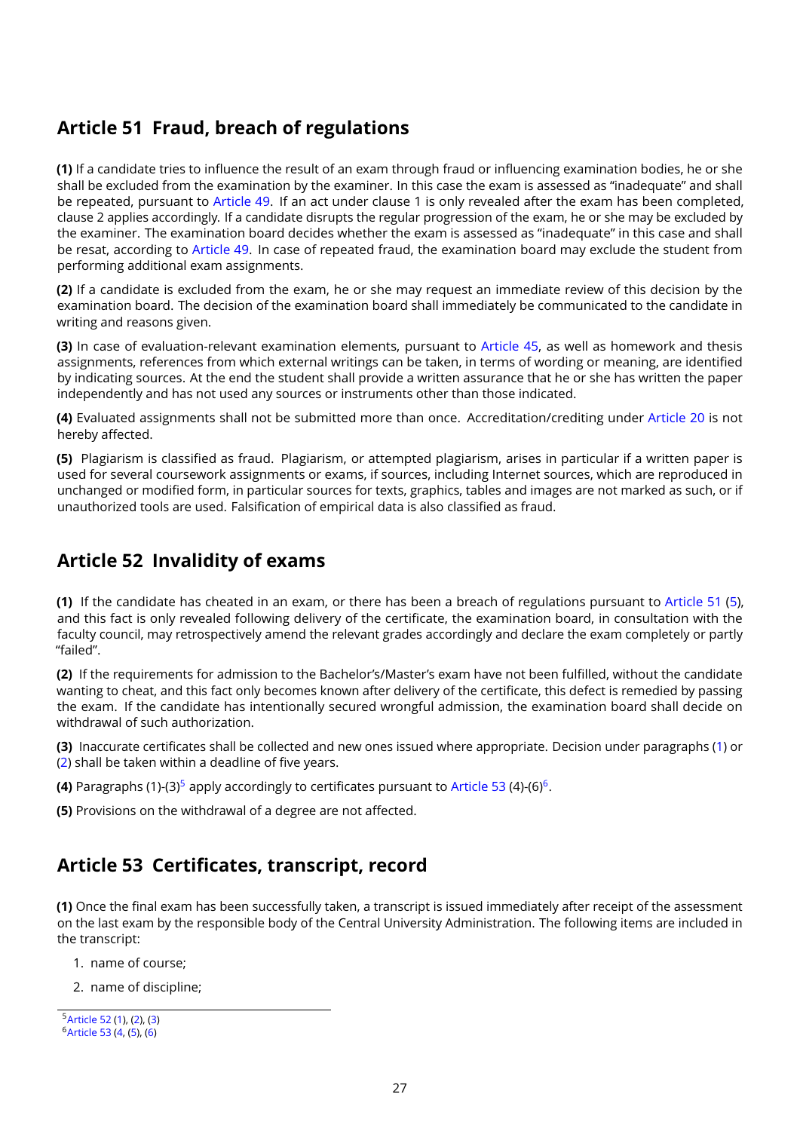#### <span id="page-26-0"></span>**Article 51 Fraud, breach of regulations**

**(1)** If a candidate tries to influence the result of an exam through fraud or influencing examination bodies, he or she shall be excluded from the examination by the examiner. In this case the exam is assessed as "inadequate" and shall be repeated, pursuant to [Article 49.](#page-25-0) If an act under clause 1 is only revealed after the exam has been completed, clause 2 applies accordingly. If a candidate disrupts the regular progression of the exam, he or she may be excluded by the examiner. The examination board decides whether the exam is assessed as "inadequate" in this case and shall be resat, according to [Article 49.](#page-25-0) In case of repeated fraud, the examination board may exclude the student from performing additional exam assignments.

**(2)** If a candidate is excluded from the exam, he or she may request an immediate review of this decision by the examination board. The decision of the examination board shall immediately be communicated to the candidate in writing and reasons given.

**(3)** In case of evaluation-relevant examination elements, pursuant to [Article 45,](#page-22-0) as well as homework and thesis assignments, references from which external writings can be taken, in terms of wording or meaning, are identified by indicating sources. At the end the student shall provide a written assurance that he or she has written the paper independently and has not used any sources or instruments other than those indicated.

**(4)** Evaluated assignments shall not be submitted more than once. Accreditation/crediting under [Article 20](#page-10-0) is not hereby affected.

<span id="page-26-3"></span>**(5)** Plagiarism is classified as fraud. Plagiarism, or attempted plagiarism, arises in particular if a written paper is used for several coursework assignments or exams, if sources, including Internet sources, which are reproduced in unchanged or modified form, in particular sources for texts, graphics, tables and images are not marked as such, or if unauthorized tools are used. Falsification of empirical data is also classified as fraud.

# <span id="page-26-1"></span>**Article 52 Invalidity of exams**

<span id="page-26-4"></span>**(1)** If the candidate has cheated in an exam, or there has been a breach of regulations pursuant to [Article 51](#page-26-0) [\(5\)](#page-26-3), and this fact is only revealed following delivery of the certificate, the examination board, in consultation with the faculty council, may retrospectively amend the relevant grades accordingly and declare the exam completely or partly "failed".

<span id="page-26-5"></span>**(2)** If the requirements for admission to the Bachelor's/Master's exam have not been fulfilled, without the candidate wanting to cheat, and this fact only becomes known after delivery of the certificate, this defect is remedied by passing the exam. If the candidate has intentionally secured wrongful admission, the examination board shall decide on withdrawal of such authorization.

<span id="page-26-8"></span>**(3)** Inaccurate certificates shall be collected and new ones issued where appropriate. Decision under paragraphs [\(1\)](#page-26-4) or [\(2\)](#page-26-5) shall be taken within a deadline of five years.

**(4)** Paragraphs (1)-(3) $^5$  $^5$  apply accordingly to certificates pursuant to [Article 53](#page-26-2) (4)-([6](#page-26-7)) $^6$ .

**(5)** Provisions on the withdrawal of a degree are not affected.

### <span id="page-26-2"></span>**Article 53 Certificates, transcript, record**

**(1)** Once the final exam has been successfully taken, a transcript is issued immediately after receipt of the assessment on the last exam by the responsible body of the Central University Administration. The following items are included in the transcript:

- 1. name of course;
- 2. name of discipline;

<span id="page-26-6"></span><sup>5</sup>[Article 52](#page-26-1) [\(1\)](#page-26-4), [\(2\)](#page-26-5), [\(3\)](#page-26-8)

<span id="page-26-7"></span><sup>6</sup>[Article 53](#page-26-2) [\(4,](#page-27-2) [\(5\)](#page-27-3), [\(6\)](#page-27-4)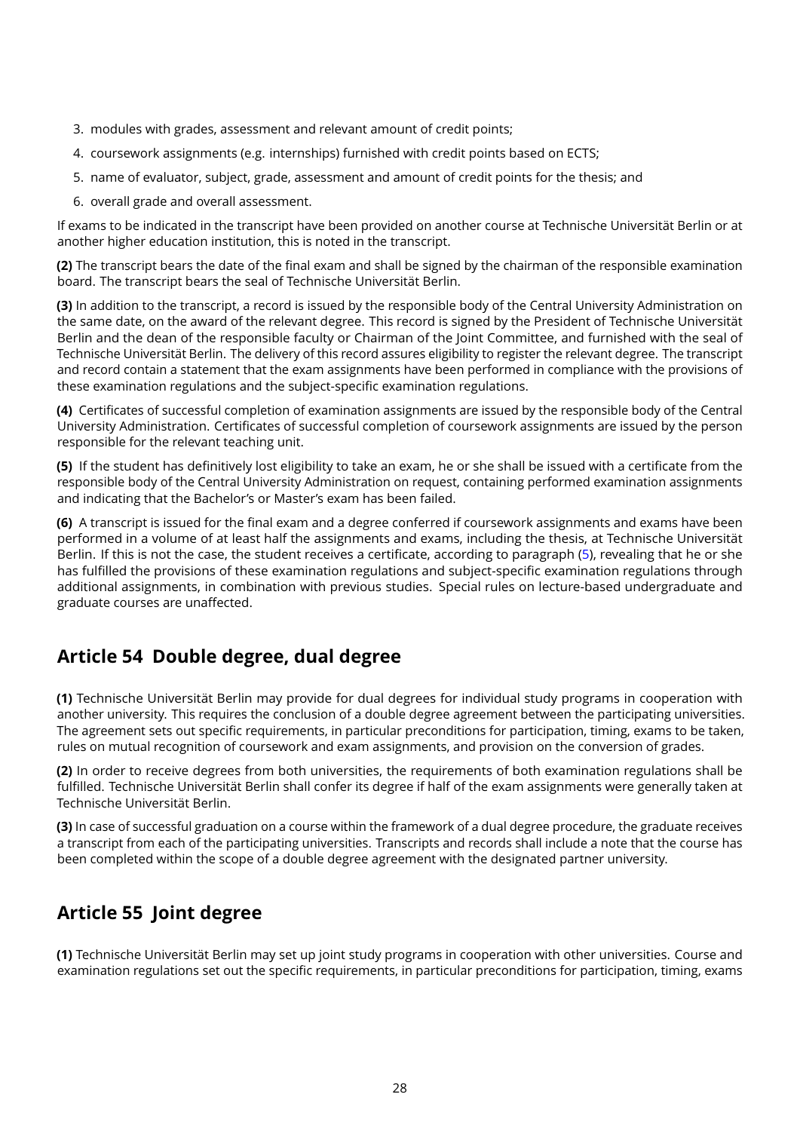- 3. modules with grades, assessment and relevant amount of credit points;
- 4. coursework assignments (e.g. internships) furnished with credit points based on ECTS;
- 5. name of evaluator, subject, grade, assessment and amount of credit points for the thesis; and
- 6. overall grade and overall assessment.

If exams to be indicated in the transcript have been provided on another course at Technische Universität Berlin or at another higher education institution, this is noted in the transcript.

**(2)** The transcript bears the date of the final exam and shall be signed by the chairman of the responsible examination board. The transcript bears the seal of Technische Universität Berlin.

**(3)** In addition to the transcript, a record is issued by the responsible body of the Central University Administration on the same date, on the award of the relevant degree. This record is signed by the President of Technische Universität Berlin and the dean of the responsible faculty or Chairman of the Joint Committee, and furnished with the seal of Technische Universität Berlin. The delivery of this record assures eligibility to register the relevant degree. The transcript and record contain a statement that the exam assignments have been performed in compliance with the provisions of these examination regulations and the subject-specific examination regulations.

<span id="page-27-2"></span>**(4)** Certificates of successful completion of examination assignments are issued by the responsible body of the Central University Administration. Certificates of successful completion of coursework assignments are issued by the person responsible for the relevant teaching unit.

<span id="page-27-3"></span>**(5)** If the student has definitively lost eligibility to take an exam, he or she shall be issued with a certificate from the responsible body of the Central University Administration on request, containing performed examination assignments and indicating that the Bachelor's or Master's exam has been failed.

<span id="page-27-4"></span>**(6)** A transcript is issued for the final exam and a degree conferred if coursework assignments and exams have been performed in a volume of at least half the assignments and exams, including the thesis, at Technische Universität Berlin. If this is not the case, the student receives a certificate, according to paragraph [\(5\)](#page-27-3), revealing that he or she has fulfilled the provisions of these examination regulations and subject-specific examination regulations through additional assignments, in combination with previous studies. Special rules on lecture-based undergraduate and graduate courses are unaffected.

### <span id="page-27-0"></span>**Article 54 Double degree, dual degree**

**(1)** Technische Universität Berlin may provide for dual degrees for individual study programs in cooperation with another university. This requires the conclusion of a double degree agreement between the participating universities. The agreement sets out specific requirements, in particular preconditions for participation, timing, exams to be taken, rules on mutual recognition of coursework and exam assignments, and provision on the conversion of grades.

**(2)** In order to receive degrees from both universities, the requirements of both examination regulations shall be fulfilled. Technische Universität Berlin shall confer its degree if half of the exam assignments were generally taken at Technische Universität Berlin.

**(3)** In case of successful graduation on a course within the framework of a dual degree procedure, the graduate receives a transcript from each of the participating universities. Transcripts and records shall include a note that the course has been completed within the scope of a double degree agreement with the designated partner university.

### <span id="page-27-1"></span>**Article 55 Joint degree**

**(1)** Technische Universität Berlin may set up joint study programs in cooperation with other universities. Course and examination regulations set out the specific requirements, in particular preconditions for participation, timing, exams